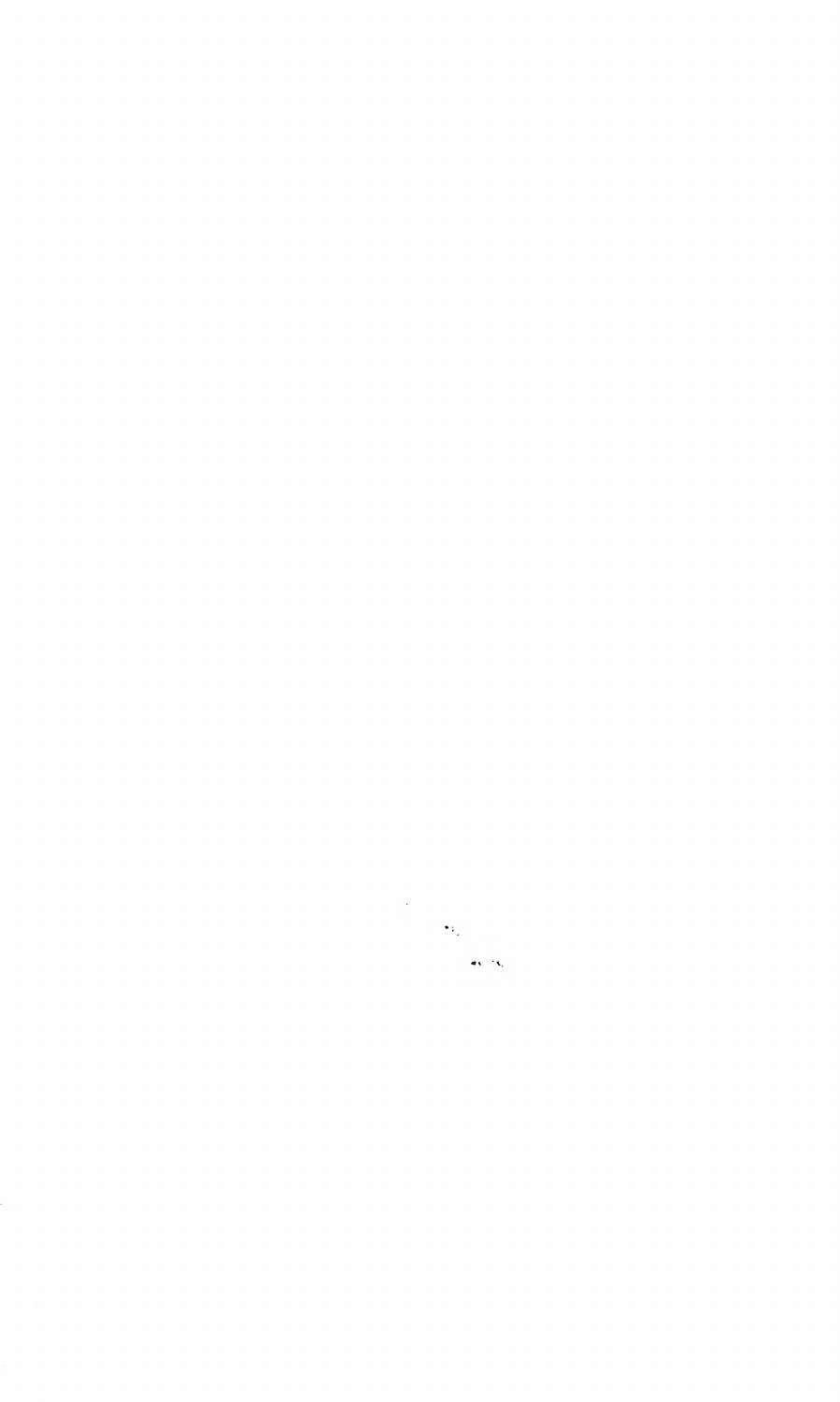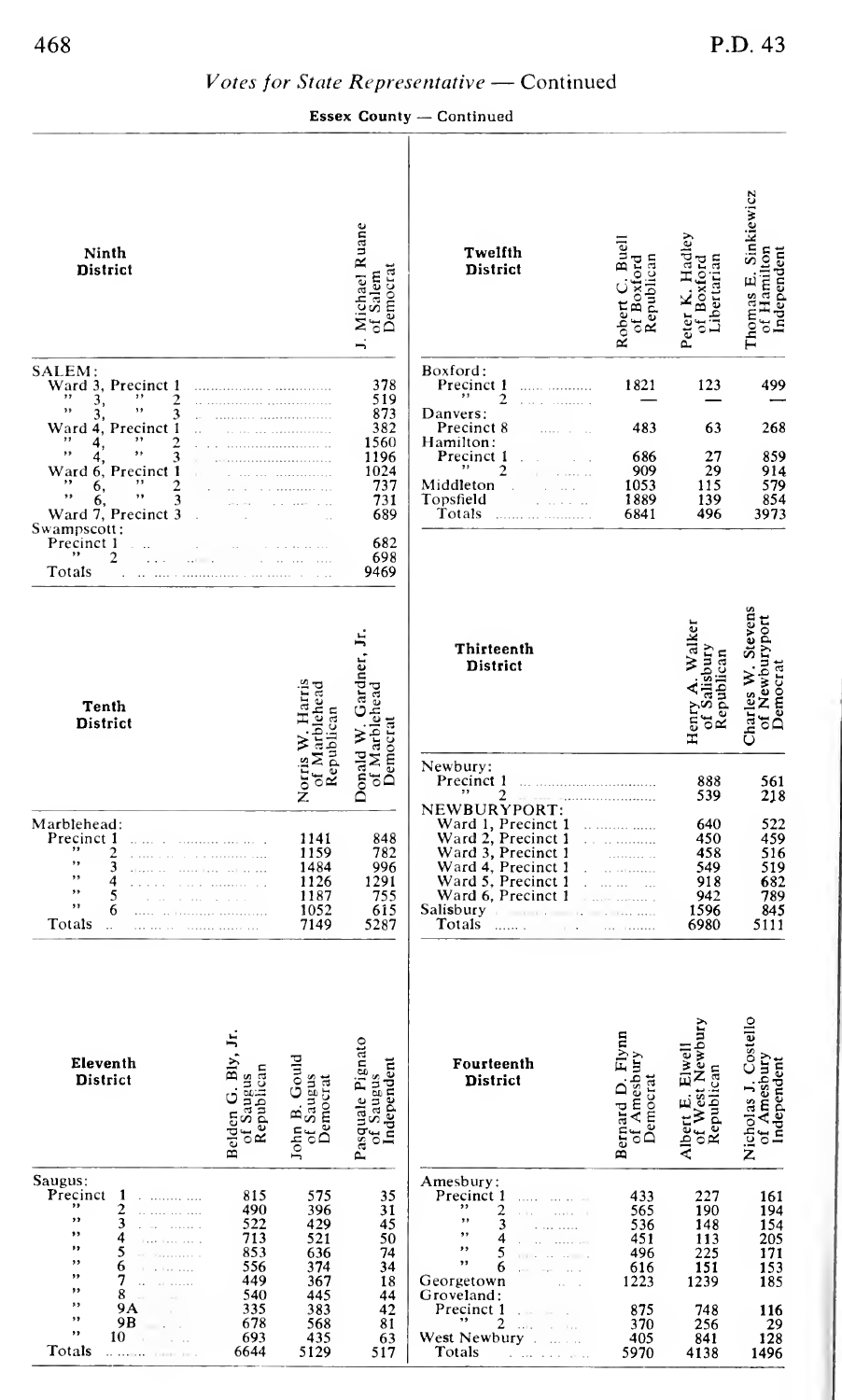Essex County — Continued

| Ninth<br>District                                                                                                                                                                                                                                                                                        |                                                                |                                                                    | J. Michael Ruane<br>of Salem<br>Democrat               | Twelfth<br>District                                                                                                                                                                                                                                                                                                                                                                                                                                                                                                  | Robert C. Buell<br>of Boxford<br>Republican          | Peter K. Hadley<br>of Boxford<br>Libertarian                                         | Thomas E. Sinkiewicz<br>of Hamilton<br>Independent           |
|----------------------------------------------------------------------------------------------------------------------------------------------------------------------------------------------------------------------------------------------------------------------------------------------------------|----------------------------------------------------------------|--------------------------------------------------------------------|--------------------------------------------------------|----------------------------------------------------------------------------------------------------------------------------------------------------------------------------------------------------------------------------------------------------------------------------------------------------------------------------------------------------------------------------------------------------------------------------------------------------------------------------------------------------------------------|------------------------------------------------------|--------------------------------------------------------------------------------------|--------------------------------------------------------------|
| SALEM:<br>Ward 3, Precinct 1<br>m 3, m 2<br>m 3, m 3<br>Precinct 1                                                                                                                                                                                                                                       |                                                                |                                                                    | 378<br>519                                             | Boxford:<br>Precinct 1<br>ووسيتما المرورة<br>2<br><b>Contractor</b>                                                                                                                                                                                                                                                                                                                                                                                                                                                  | 1821                                                 | 123                                                                                  | 499                                                          |
| $\sim$                                                                                                                                                                                                                                                                                                   |                                                                |                                                                    | 873<br>382<br>1560                                     | Danvers:<br>Precinct 8<br>Hamilton:                                                                                                                                                                                                                                                                                                                                                                                                                                                                                  | 483                                                  | 63                                                                                   | 268                                                          |
| $\begin{array}{cccc} & 3, & \cdots & 3 \\ \text{Ward 4, Precinct 1} & & 2 \\ & \cdots & 4, & \cdots & 2 \\ \text{Ward 6, Precinct 1} & & 3 \\ & \cdots & 6, & \cdots & 2 \\ & \cdots & 6, & \cdots & 3 \\ \text{Ward 7. Precinct 3} & & & \end{array}$<br>$\hat{S}$<br>Ward 7, Precinct 3<br>Swampscott: |                                                                |                                                                    | 1196<br>1024<br>$737$<br>$731$<br>689                  | $\sim$ $\sim$<br>Precinct $\frac{1}{2}$<br>$\sim$<br>$\overline{\mathbf{c}}$<br>$2 - 1 - 1$<br>Middleton<br>Topsfield<br>Totals                                                                                                                                                                                                                                                                                                                                                                                      | 686<br>909<br>1053<br>1889<br>6841                   | $^{27}_{29}$<br>115<br>139<br>496                                                    | 859<br>914<br>579<br>854<br>3973                             |
| Precinct 1<br>à.<br>2<br>$\sim$ $\sim$<br>$\alpha$ .<br>Totals<br>÷,<br>a san canalanan calculus com                                                                                                                                                                                                     |                                                                | من من من المعروف .<br>منذ المن المن المعروف .                      | 682<br>698<br>9469                                     |                                                                                                                                                                                                                                                                                                                                                                                                                                                                                                                      |                                                      |                                                                                      |                                                              |
| Tenth<br>District                                                                                                                                                                                                                                                                                        |                                                                | Norris W. Harris<br>of Marblehead<br>Republican                    | Donald W. Gardner, Jr.<br>of Marblehead<br>Democrat    | Thirteenth<br>District                                                                                                                                                                                                                                                                                                                                                                                                                                                                                               |                                                      | Henry A. Walker<br>of Salisbury<br>Republican                                        | Charles W. Stevens<br>of Newburyport<br>Democrat             |
|                                                                                                                                                                                                                                                                                                          |                                                                |                                                                    |                                                        | Newbury:                                                                                                                                                                                                                                                                                                                                                                                                                                                                                                             |                                                      | 888<br>539                                                                           | 561<br>218                                                   |
| Marblehead:<br>Precinct 1<br>,,<br>$\frac{2}{3}$<br>,,<br>,,<br>$\overline{\bf{4}}$<br>,,<br>5<br>,,<br>6<br>Totals<br>$\mathcal{L}^{\mathcal{L}}$<br>and the commission of the state                                                                                                                    |                                                                | 1141<br>1159<br>1484<br>1126<br>1187<br>1052<br>7149               | 848<br>782<br>996<br>$\frac{1291}{755}$<br>615<br>5287 | Newbuy:<br>Precint 1<br>NEWBURYPORT:<br>Ward 1, Precint 1<br>Ward 2, Precint 1<br>Ward 3, Precint 1<br>Ward 4, Precint 1<br>Ward 5, Precint 1<br>Nard 6, Precint 1<br>Nard 6, Precint 1<br>Nard 6, Precint 1<br>Nard 6, Precint 1<br>Salisbury<br>contraction in<br>Totals<br>make the community                                                                                                                                                                                                                     | the company of the company                           | 640<br>450<br>458<br>549<br>918<br>942<br>1596<br>6980                               | 522<br>459<br>516<br>519<br>519<br>682<br>789<br>845<br>5111 |
| Eleventh<br>District                                                                                                                                                                                                                                                                                     | Belden G. Bly, Jr.<br>of Saugus<br>Republican                  | John B. Gould<br>of Saugus<br>Democrat                             | Pasquale Pignato<br>of Saugus<br>Independent           | Fourteenth<br>District                                                                                                                                                                                                                                                                                                                                                                                                                                                                                               | Bernard D. Flynn<br>of Amesbury<br>Democrat          | Albert E. Elwell<br>of West Newbury<br>Republican                                    | Nicholas J. Costello<br>of Amesbury<br>Independent           |
| Saugus:<br>Precinct<br>1<br>$\frac{2}{3}$<br>$\alpha$ and $\alpha$ and<br>,,<br>المستحدة المراجع<br>والمستحدة المستحدة<br>,,<br>4<br>,,<br>5<br>67<br>8<br>9 A<br>an annually<br>,,<br>$\frac{1}{2}$ , where $\frac{1}{2}$<br>,,<br>,,                                                                   | 815<br>$490$<br>$522$<br>$713$<br>$853$<br>$556$<br>449<br>540 | 575<br>396<br>429<br>521<br>636<br>374<br>367<br>445<br>383<br>568 | 35<br>31<br>45<br>50<br>50<br>74<br>34                 | Amesbury:<br>$\begin{array}{c}\n\text{me}s \text{bury:} \\ \text{Precinct 1} \\ \text{or} \\ \text{or} \\ \text{or} \\ \text{excess 6} \\ \text{or} \\ \text{excess 7} \\ \text{or} \\ \text{excess 8} \\ \text{or} \\ \text{excess 9} \\ \text{or} \\ \text{excess 1} \\ \text{or} \\ \text{excess 1} \\ \text{or} \\ \text{excess 2} \\ \text{or} \\ \text{excess 3} \\ \text{or} \\ \text{excess 4} \\ \text{or} \\ \text{excess 5} \\ \text{or} \\ \text{excess 6} \\ \text{or} \\ \text{excess 7$<br>Georgetown | 433<br>565<br>536<br>451<br>$496$<br>$616$<br>$1223$ | $\begin{array}{c} 227 \\ 190 \\ 148 \end{array}$<br>$\frac{113}{225}$<br>151<br>1239 | 161<br>194<br>154<br>154<br>205<br>171<br>153<br>185         |
| $\sim$<br>,,<br>,,<br>9B<br>û<br>,,<br>10<br>$\epsilon \rightarrow \infty$<br>Totals<br>$\sim$ $\sim$                                                                                                                                                                                                    | $\frac{335}{678}$<br>693<br>6644                               | 435<br>5129                                                        | $18$<br>$44$<br>$42$<br>$81$<br>517                    | Georgewood:<br>Groveland:<br>Precinct 1<br>2<br>inger van de<br>Listen van de<br>West Newbury<br>Totals                                                                                                                                                                                                                                                                                                                                                                                                              | 875<br>370<br>405<br>5970                            | 748<br>256<br>841<br>4138                                                            | $\frac{116}{29}$<br>128<br>1496                              |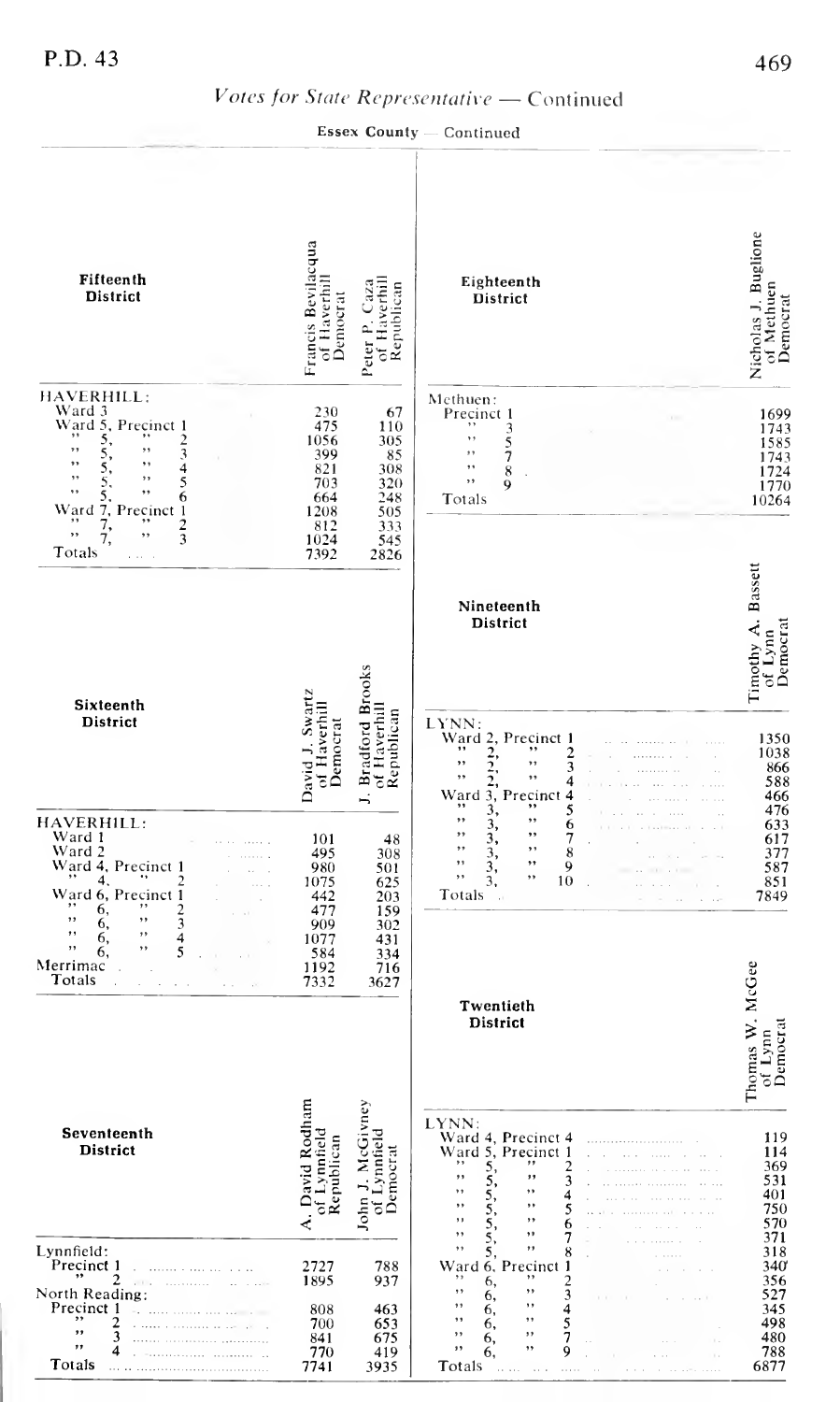Essex County — Continued

| Fifteenth<br><b>District</b>                                                                                                                                                                                                                                                                 | Francis Bevilacqua<br>of Haverhill<br>Peter P. Caza<br>of Haverhill<br>Republican<br>Democrat                                                                   | Eighteenth<br>District                                                                                                                                                                                                                                                                                                                                                                                                                                                                                                                                                                                                                                                                                                           | Nicholas J. Buglione<br>of Methuen<br>Democrat                                     |
|----------------------------------------------------------------------------------------------------------------------------------------------------------------------------------------------------------------------------------------------------------------------------------------------|-----------------------------------------------------------------------------------------------------------------------------------------------------------------|----------------------------------------------------------------------------------------------------------------------------------------------------------------------------------------------------------------------------------------------------------------------------------------------------------------------------------------------------------------------------------------------------------------------------------------------------------------------------------------------------------------------------------------------------------------------------------------------------------------------------------------------------------------------------------------------------------------------------------|------------------------------------------------------------------------------------|
| HAVERHILL:<br>Ward 3<br>Ward 5, Precinct 1<br>$\frac{1}{2}$ , $\frac{5}{2}$ , $\frac{1}{2}$<br>23456<br>,,<br>٠,<br>$\overline{\mathbf{S}}$<br>,,<br>٠,<br>5<br>,,<br>,,<br>s.<br>٠,<br>,,<br>š<br>$\frac{7}{7}$ ,<br>$\mathbf 1$<br>Ward<br>,,<br>Precinct<br>$\frac{2}{3}$<br>٠,<br>Totals | 230<br>475<br>67<br>110<br>1056<br>305<br>399<br>85<br>$\frac{821}{703}$<br>308<br>320<br>$\frac{248}{505}$<br>664<br>1208<br>812<br>333<br>545<br>1024<br>7392 | Methuen:<br>Precinct 1<br>$\frac{3}{5}$<br>.,<br>,,<br>,,<br>8<br>,,<br>9<br>Totals                                                                                                                                                                                                                                                                                                                                                                                                                                                                                                                                                                                                                                              | 1699<br>1743<br>1585<br>1743<br>1724<br>1770<br>10264                              |
| $\sim$<br>Sixteenth                                                                                                                                                                                                                                                                          | 2826                                                                                                                                                            | Nineteenth<br>District                                                                                                                                                                                                                                                                                                                                                                                                                                                                                                                                                                                                                                                                                                           | Timothy A. Bassett<br>of Lynn<br>Democrat                                          |
| <b>District</b><br>HAVERHILL:<br>AVERIMATE<br>Ward 2<br>Ward 2<br>Ward 4, Precinct 1<br>Precinct 1                                                                                                                                                                                           | . Bradford Brooks<br>of Haverhill<br>Republican<br>David J. Swartz<br>of Haverhill<br>Democrat<br>$\ddot{ }$<br>101<br>48<br>495<br>308<br>980<br>501           | LYNN:<br>Ward<br>$\frac{2}{2}$ , $\frac{2}{2}$ ,<br>Precinct $\frac{1}{2}$<br>$\frac{2}{3}$<br>$\begin{array}{ll} 0 & 0 & 0 \\ 0 & 0 & 0 \\ 0 & 0 & 0 \\ 0 & 0 & 0 \\ 0 & 0 & 0 \\ 0 & 0 & 0 \\ 0 & 0 & 0 \\ 0 & 0 & 0 \\ 0 & 0 & 0 \\ 0 & 0 & 0 \\ 0 & 0 & 0 \\ 0 & 0 & 0 \\ 0 & 0 & 0 & 0 \\ 0 & 0 & 0 & 0 \\ 0 & 0 & 0 & 0 \\ 0 & 0 & 0 & 0 & 0 \\ 0 & 0 & 0 & 0 & 0 \\ 0 & 0 & 0 & 0 & 0 \\ 0 & 0 & 0 & 0 & 0 \\ 0 & 0 & 0 &$<br>$\sim$<br>,,<br>,,<br>÷.<br>,,<br>,,<br>4<br>د سال د<br>a sala<br>Ward<br>3,<br>Precinct<br>4<br>$\sim$<br>,,<br>$\ddot{\phantom{1}}$<br>5<br>3,<br>$\bar{\alpha}$<br>٠,<br>,,<br>3,<br>6<br>,,<br>,,<br>$\frac{7}{8}$<br>3<br>,,<br>,,<br>3,<br>,,<br>,,<br>$\frac{3}{3}$<br>9<br>,,<br>,, | 1350<br>1038<br>866<br>588<br>466<br>476<br>633<br>617<br>617<br>377<br>587<br>851 |
| Ward 6, Precinct $\frac{1}{2}$<br>$\frac{2}{3}$<br>6,<br>,,<br>,,<br>6,<br>,,<br>,,<br>4<br>6,<br>,,<br>,,<br>5<br>6,<br>Merrimac<br>Totals                                                                                                                                                  | 1075<br>$\frac{625}{203}$<br>159<br>442<br>477<br>302<br>909<br>1077<br>431<br>$\frac{334}{716}$<br>584<br>1192<br>7332<br>3627                                 | 10<br>Totals<br>Twentieth<br>District                                                                                                                                                                                                                                                                                                                                                                                                                                                                                                                                                                                                                                                                                            | 7849<br>Thomas W. McGee<br>of Lynn<br>Democrat                                     |
| Seventeenth<br><b>District</b>                                                                                                                                                                                                                                                               | A. David Rodham<br>of Lynnfield<br>John J. McGivney<br>of Lynnfield<br>Democrat<br>Republican                                                                   | LYNN:<br>Ward 4, Precinct 4<br>Ward 5, Precinct 1<br>2<br>,,<br>,,<br>3<br>,,<br>,,<br>4<br>à.<br>and a strategies<br>,,<br>,,<br>5<br>and commences are a set<br>,,<br>,,<br>$\frac{6}{7}$<br>,,<br>,,                                                                                                                                                                                                                                                                                                                                                                                                                                                                                                                          | $\frac{119}{114}$<br>$\frac{369}{121}$<br>531<br>401<br>750<br>570                 |
| Lynnfield:<br>Precinct 1<br>$\overline{2}$<br>$\sim$<br>North Reading:<br>Precinct 1<br>$\sim$ $ \sim$<br>$\overline{\mathbf{c}}$<br>,,<br>$\overline{\mathbf{3}}$<br>in minim minim<br>Siniman<br>,,<br>4<br>Totals<br>$\mathcal{L}$                                                        | 2727<br>788<br>1895<br>937<br>808<br>463<br>653<br>675<br>700<br>$\frac{841}{770}$<br>419<br>7741<br>3935                                                       | ,,<br>,,<br>$\bar{8}$<br>6. Precinct<br>Ward<br>1<br>$\frac{1}{11}$<br>$2\frac{3}{4}$<br>$5\frac{7}{9}$<br>6,<br>,,<br>6,<br>$1.1 - 1.$<br>٠,<br>,,<br>6,<br>,,<br>,,<br>6,<br>,,<br>,,<br>6,<br>,,<br>,,<br>6,<br>ł,<br>Totals                                                                                                                                                                                                                                                                                                                                                                                                                                                                                                  | $\frac{371}{318}$<br>318<br>$356$<br>$527$<br>$345$<br>$498$<br>480<br>788<br>6877 |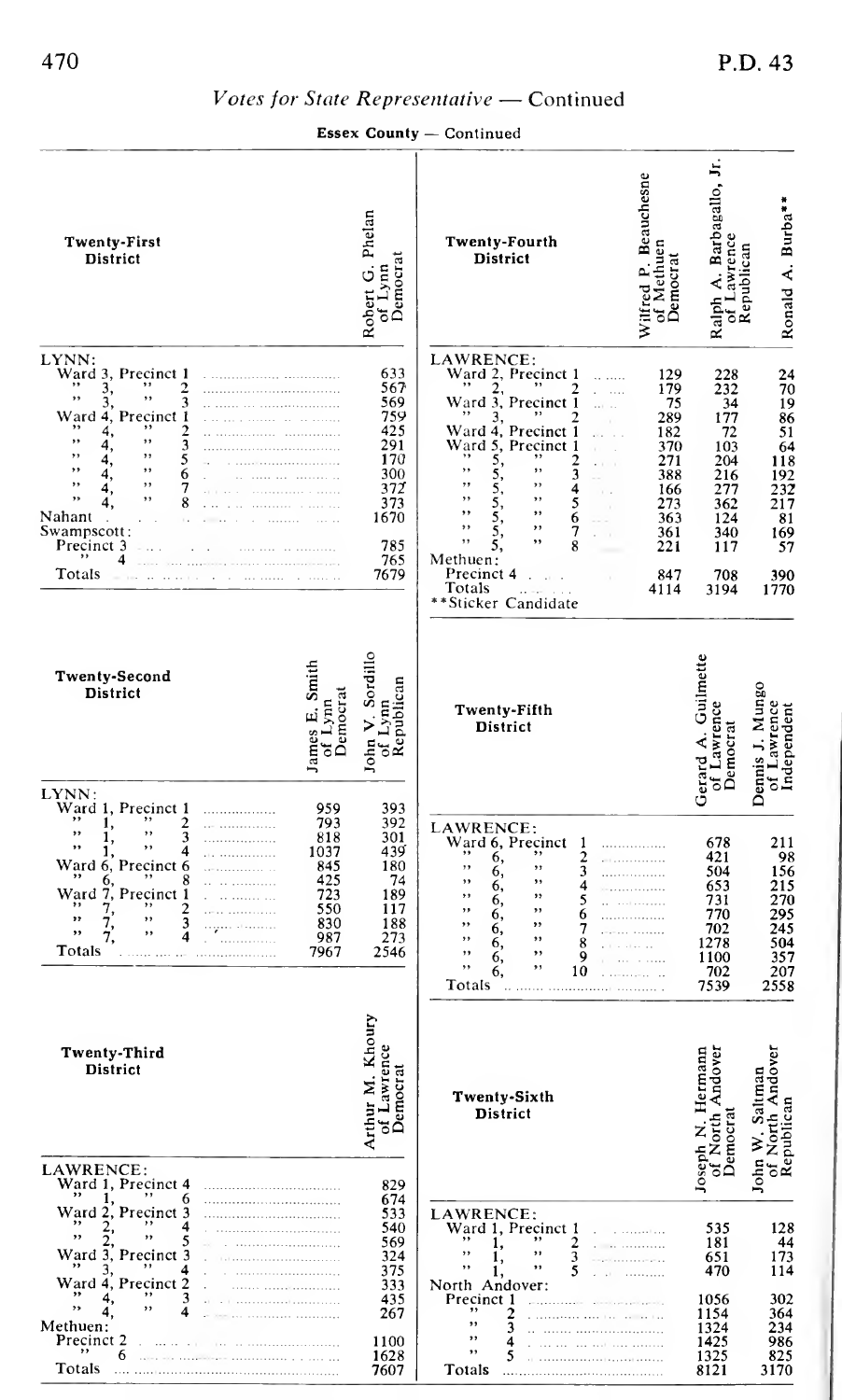Essex County — Continued

| <b>Twenty-First</b><br>District                                                                                                                                                                                                                                                                                                                                                                                                                                                                                                                                | Robert G. Phelan<br>of Lynn<br>Democrat                                                                            | Wittred P. Beauchesne<br>Twenty-Fourth<br><b>District</b>                                                                                                                                                                                                                                                                                                                                                                                                                                                              | of Methuen<br>Democrat                                                                                       | Ralph A. Barbagallo, Jr.<br>of Lawrence<br>Republican                                                | Ronald A. Burba**                                                                                                         |
|----------------------------------------------------------------------------------------------------------------------------------------------------------------------------------------------------------------------------------------------------------------------------------------------------------------------------------------------------------------------------------------------------------------------------------------------------------------------------------------------------------------------------------------------------------------|--------------------------------------------------------------------------------------------------------------------|------------------------------------------------------------------------------------------------------------------------------------------------------------------------------------------------------------------------------------------------------------------------------------------------------------------------------------------------------------------------------------------------------------------------------------------------------------------------------------------------------------------------|--------------------------------------------------------------------------------------------------------------|------------------------------------------------------------------------------------------------------|---------------------------------------------------------------------------------------------------------------------------|
| LYNN: $\frac{Ward}{3}$ , Precinct 1<br>$\frac{3}{3}$<br>$\overline{c}$<br>,,<br>,,<br>3<br>Ward<br>4. Precinct<br>1<br>للمنابذ المتمدد والمرادة<br>4,<br>$\ddot{}}$<br>$\frac{2}{3}$<br>,,<br>4,<br>,,<br>,,<br>5<br>the company of the company of<br>4,<br>,,<br>,,<br>$\frac{6}{7}$<br>4,<br>,,<br>,,<br>4,<br>,,<br>,,<br>4,<br>8<br>Nahant<br>$\bar{\alpha}$<br>J.<br>Swampscott:<br>Precinct 3<br>4<br>à,<br>Totals<br>and an anti-state of the company of the company                                                                                    | 633<br>567<br>569<br>759<br>425<br>$\frac{291}{170}$<br>300<br>372<br>373<br>1670<br>785<br>765<br>7679            | LAWRENCE:<br>Ward 2, Precinct 1<br>ward 3, Precinct 1<br>ward 4, Precinct 1<br>Ward 4, Precinct 1<br>à.<br>ward 5, Precinct 1<br>metals, Precinct 1<br>metals, Precinct 1<br>metals, metals, metals, metals, metals, metals, metals, metals, metals, metals, metals, metals, metals, metals, metals, metals, metals, metals, metals, metals, me<br>$\lambda$ .<br>×<br>$\frac{5}{5}$ , 5,<br>ł,<br>$\lambda$<br>,,<br>,,<br>$\dot{8}$<br>Methuen:<br>Precinct 4<br>$\sim$<br>$\alpha$<br>Totals<br>**Sticker Candidate | 129<br>179<br>75<br>289<br>182<br>$\frac{370}{271}$<br>388<br>166<br>273<br>363<br>361<br>221<br>847<br>4114 | 228<br>232<br>34<br>177<br>72<br>103<br>$\frac{204}{216}$<br>362<br>124<br>340<br>117<br>708<br>3194 | 24<br>70<br>19<br>86<br>51<br>$\frac{64}{18}$<br>$\frac{118}{192}$<br>$\frac{237}{217}$<br>81<br>169<br>57<br>390<br>1770 |
| James E. Smith<br>of Lynn<br>Democrat<br>Twenty-Second<br>District<br>LYNN:                                                                                                                                                                                                                                                                                                                                                                                                                                                                                    | John V. Sordillo<br>of Lynn<br>Republican                                                                          | Twenty-Fifth<br><b>District</b>                                                                                                                                                                                                                                                                                                                                                                                                                                                                                        |                                                                                                              | Gerard A. Guilmette<br>of Lawrence<br>Democrat                                                       | Denis J. Mungo<br>of Lawrence<br>Independent                                                                              |
| Ward 1, Precinct 1<br>959<br>793<br>$\frac{2}{3}$<br>1,<br>,,<br>1,<br>$\frac{818}{1037}$<br>,,<br>,,<br>4<br>1<br>Ward $\stackrel{1}{\stackrel{6}{\scriptstyle\cdot}}$ Precinct $\stackrel{6}{\scriptstyle\cdot}$<br>Ward 7, Precinct 1<br>$\stackrel{1}{\scriptstyle\cdot}$ 7, $\stackrel{1}{\scriptstyle\cdot}$ 7<br>$\stackrel{1}{\scriptstyle\cdot}$ 7<br>$\stackrel{1}{\scriptstyle\cdot}$ 7<br>$\stackrel{2}{\scriptstyle\cdot}$ 3<br>$845$<br>$425$<br>$723$<br>$550$<br>$830$<br>organizations.<br>,,<br>,,<br>7,<br>987<br>4<br>÷.<br>Totals<br>7967 | 393<br>392<br>301<br>439<br>$\frac{180}{74}$<br>$\frac{74}{189}$<br>$\frac{117}{132}$<br>$\frac{188}{273}$<br>2546 | LAWRENCE:<br>$W$ ard 6, Preçinct<br>1<br>6,<br>$\overline{c}$<br>,,<br>,,<br>$\overline{\mathbf{3}}$<br>6,<br>,,<br>,,<br>6,<br>4<br>,<br>,,<br>5<br>6,<br>,,<br>,,<br>6<br>6,<br>,,<br>,,<br>$\begin{array}{c} 7 \\ 8 \\ 9 \end{array}$<br>6,<br>,,<br>,,<br>6,<br>,,<br>,,<br>6,<br>,,<br>,,<br>10<br>6,<br>Totals<br>$\ddot{\phantom{1}}$                                                                                                                                                                           |                                                                                                              | 678<br>421<br>504<br>$\frac{653}{731}$<br>770<br>702<br>1278<br>1100<br>702<br>7539                  | 211<br>98<br>156<br>215<br>270<br>295<br>245<br>357<br>357<br>207<br>2558                                                 |
| Twenty-Third<br><b>District</b><br>LAWRENCE:                                                                                                                                                                                                                                                                                                                                                                                                                                                                                                                   | Arthur M. Khoury<br>of Lawrence<br>Democrat                                                                        | Twenty-Sixth<br><b>District</b>                                                                                                                                                                                                                                                                                                                                                                                                                                                                                        |                                                                                                              | Joseph N. Hermann<br>of North Andover<br>Democrat                                                    | John W. Saltman<br>of North Andover<br>Republican                                                                         |
| Ward 1, Precinct 4<br>6<br>Ward<br>$\frac{2}{2}$ , Precinct<br>$\frac{2}{2}$ , $\frac{1}{2}$<br>3<br>4<br>,,<br>5<br>Ward $\frac{3}{3}$ , Precinct $\frac{3}{4}$<br>$\frac{4}{2}$<br>Ward 4, Precinct<br>$\cdot$<br>3<br>4,<br>,,<br>4,<br>4<br>Methuen:<br>Precinct 2<br>$\sim 10^{-1}$<br>6<br>and the concentration concentration is a state of<br>Totals                                                                                                                                                                                                   | 829<br>674<br>533<br>540<br>569<br>$324$<br>$375$<br>$333$<br>$\frac{435}{267}$<br>1100<br>1628<br>7607            | LAWRENCE:<br>Ward 1, Precinct 1<br>ļ,<br>$\frac{2}{3}$<br>,,<br>,,<br>1,<br>,,<br>,,<br>1,<br>North Andover:<br>Precinct<br>$\frac{1}{2}$<br>$\sim$<br>,,<br>$\frac{4}{5}$<br>and and their most come and com-<br>,,<br>Totals                                                                                                                                                                                                                                                                                         |                                                                                                              | 535<br>$\frac{181}{651}$<br>470<br>1056<br>1154<br>1324<br>1425<br>1325<br>8121                      | 128<br>$\frac{44}{173}$<br>114<br>302<br>364<br>234<br>986<br>825<br>3170                                                 |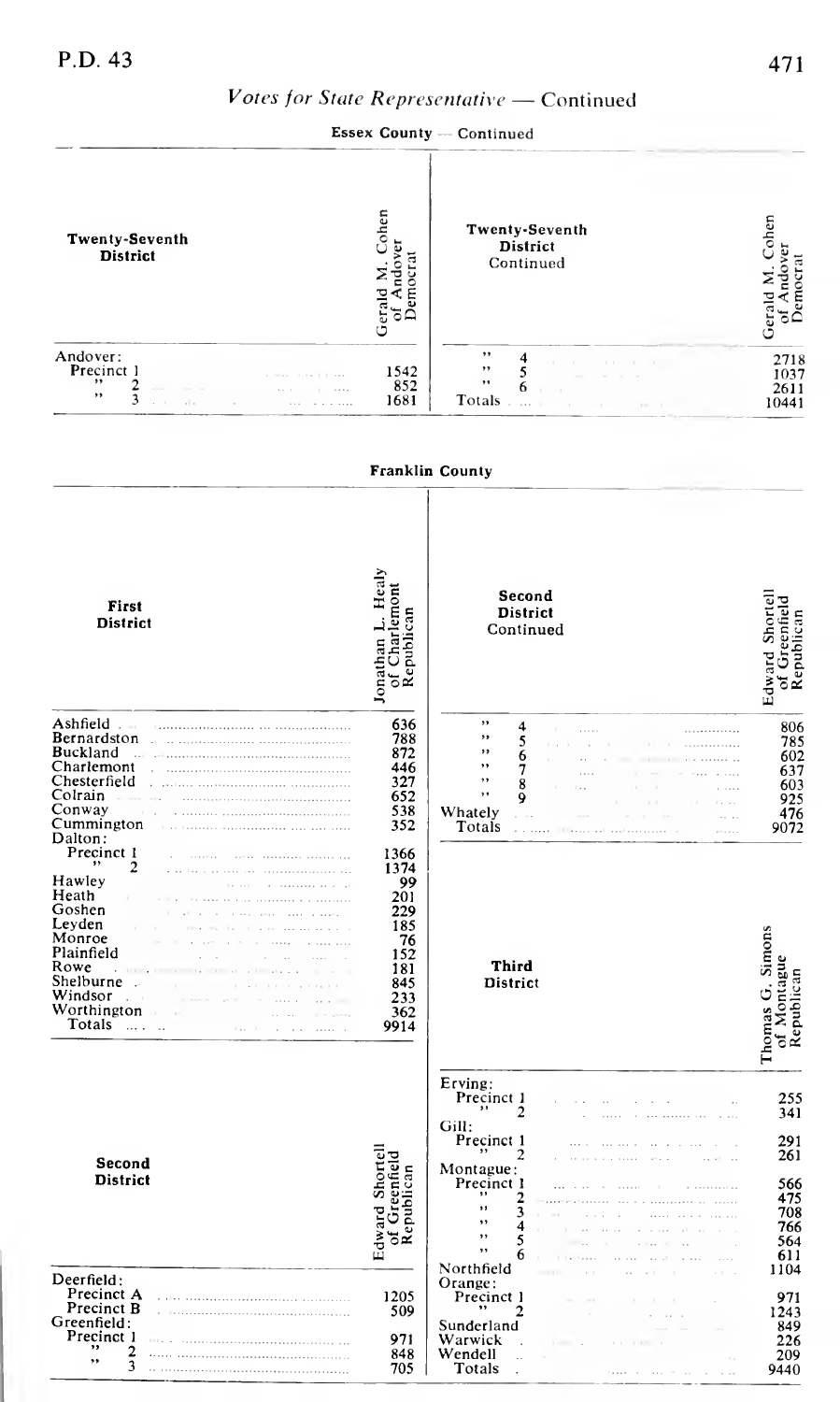#### Essex County — Continued

| Twenty-Seventh<br><b>District</b>                                                                                                    | ē                   | Twenty-Seventh<br>District<br>Continued                                  |                               |
|--------------------------------------------------------------------------------------------------------------------------------------|---------------------|--------------------------------------------------------------------------|-------------------------------|
| Andover:<br>Precinct 1<br>a more and a final com-<br>,,<br>$-10-$<br><b>Service</b><br>$\sim$<br>1.111<br>$, \,$<br>э<br>$\sim$<br>. | 1542<br>852<br>1681 | $, \,$<br>$, \,$<br>$\cdots$<br>'n<br>Totals<br>Tel: 10<br><b>AND 10</b> | 2718<br>1037<br>2611<br>10441 |



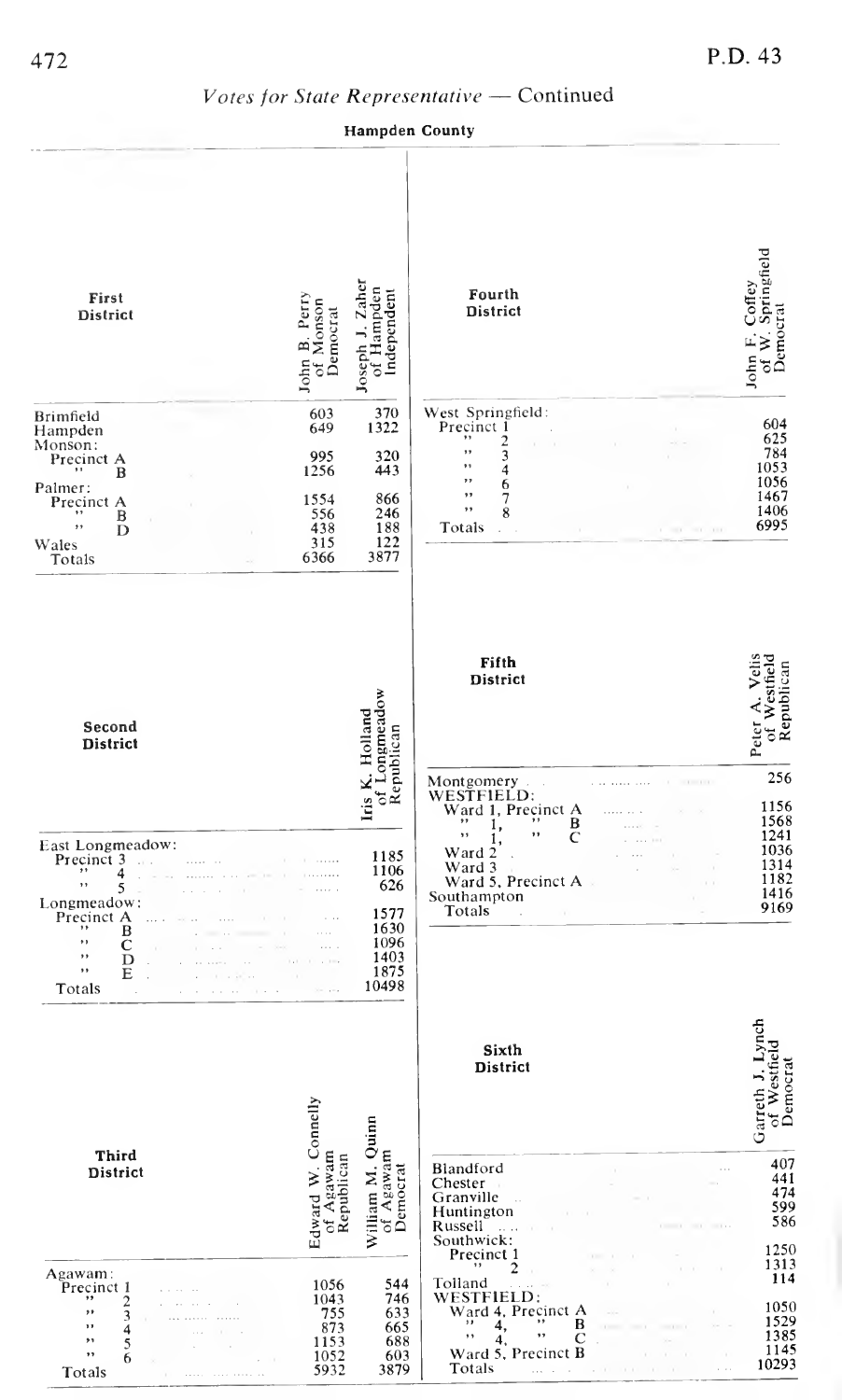#### Hampden County

| First<br>District                                                                                                                                                                                                                                                                                                                                                                                                                                                                                                                                                                                                                                                                                                                                                   | John B. Perry<br>of Monson<br>Democrat                         | Joseph J. Zaher<br>of Hampden<br>Independent                         | Fourth<br>District                                                                                                                                                                                                                               | John F. Coffey<br>of W. Springfield<br>Democrat                  |
|---------------------------------------------------------------------------------------------------------------------------------------------------------------------------------------------------------------------------------------------------------------------------------------------------------------------------------------------------------------------------------------------------------------------------------------------------------------------------------------------------------------------------------------------------------------------------------------------------------------------------------------------------------------------------------------------------------------------------------------------------------------------|----------------------------------------------------------------|----------------------------------------------------------------------|--------------------------------------------------------------------------------------------------------------------------------------------------------------------------------------------------------------------------------------------------|------------------------------------------------------------------|
| Brimfield<br>Hampden<br>Monson:<br>Precinct A<br>B<br>Palmer:<br>Precinct A<br>B<br>,,<br>D<br>Wales<br>Totals                                                                                                                                                                                                                                                                                                                                                                                                                                                                                                                                                                                                                                                      | 603<br>649<br>995<br>1256<br>1554<br>556<br>438<br>315<br>6366 | 370<br>1322<br>320<br>443<br>866<br>246<br>$\frac{188}{122}$<br>3877 | West Springfield:<br>Precinct $\frac{1}{2}$<br>$\overline{2}$<br>,,<br>3<br>,,<br>$\ddot{4}$<br>,,<br>6<br>,,<br>$\overline{7}$<br>$\ddot{\phantom{1}}$<br>8<br>Totals<br>$\alpha=1$                                                             | 604<br>$\frac{625}{784}$<br>1053<br>1056<br>1467<br>1406<br>6995 |
| Second<br>District                                                                                                                                                                                                                                                                                                                                                                                                                                                                                                                                                                                                                                                                                                                                                  |                                                                | of Longmeadow<br>Republican<br>Iris K. Holland                       | Fifth<br>District<br>the company of the company<br>Montgomery                                                                                                                                                                                    | Peter A. Velis<br>of Westfield<br>Republican<br>256              |
| East Longmeadow:<br>Exercise the precise of the precise of the state of the state of the state of the state of the state of the state of the state of the state of the state of the state of the state of the state of the state of the state of t<br>,,<br>D<br>$\begin{aligned} \mathbf{u} & = \mathbf{u} \cdot \mathbf{u} \cdot \mathbf{u} = \mathbf{u} \cdot \mathbf{u} = \mathbf{u} \cdot \mathbf{u} + \mathbf{u} \cdot \mathbf{u} \\ & = \mathbf{u} \cdot \mathbf{u} + \mathbf{u} \cdot \mathbf{u} = \mathbf{u} \cdot \mathbf{u} + \mathbf{u} \cdot \mathbf{u} \\ & = \mathbf{u} \cdot \mathbf{u} + \mathbf{u} \cdot \mathbf{u} + \mathbf{u} \cdot \mathbf{u} + \mathbf{u} \cdot \mathbf{u} + \mathbf{u} \cdot \mathbf{u} \$<br>$\frac{D}{E}$<br>.,<br>Totals |                                                                | 1185<br>1106<br>626<br>1577<br>1630<br>1096<br>1403<br>1875<br>10498 | WESTFIELD:<br>Ward 1, Precinct A<br>" 1, "B<br>Ward 2"<br>$\sim$ 1000 $\sim$ $\sim$<br>$\sim$ $\sim$ $\sim$<br>Ward 2<br>Ward 3<br>Ward 5, Precinct A<br>$\epsilon$ , $\alpha\epsilon$ , $\gamma$ )<br>$\sim$<br>Southampton<br>Totals<br>$\sim$ | 1156<br>1568<br>1241<br>1036<br>1314<br>1182<br>1416<br>9169     |
|                                                                                                                                                                                                                                                                                                                                                                                                                                                                                                                                                                                                                                                                                                                                                                     |                                                                |                                                                      | Sixth<br>District                                                                                                                                                                                                                                | Garreth J. Lynch<br>of Westfield<br>Democrat                     |
| Third<br>District                                                                                                                                                                                                                                                                                                                                                                                                                                                                                                                                                                                                                                                                                                                                                   | Edward W. Connelly<br>of Agawam<br>Republican                  | William M. Quinn<br>of Agawam<br>Democrat                            | Blandford<br>$\sim$<br>Chester<br>Granville<br>Granwin<br>Huntington<br>Russell<br>Southwick:<br>Precinct<br>"<br>"<br>WESTFIELD:<br>Werd A Precinct                                                                                             | 407<br>441<br>474<br>599<br>586<br>1250                          |
| Agawam:<br>Precinct $\frac{1}{2}$<br>$\sim 10^{11}$ m $^{-1}$ .<br>$\frac{2}{3}$<br>$\frac{3}{4}$ 5<br>y,<br>$\mathbf{r} = \mathbf{m}$ and $\mathbf{m}$<br>$\ddot{\phantom{a}}$<br>$\sim 100$ m $^{-1}$ M $_{\odot}$<br>,,<br>$\mathcal{F}_{\mathcal{F}}$<br>,,<br>6<br>Totals                                                                                                                                                                                                                                                                                                                                                                                                                                                                                      | 1056<br>$\frac{1043}{755}$<br>873<br>1153<br>1052<br>5932      | 544<br>746<br>633<br>665<br>688<br>603<br>3879                       | $\mathcal{A}=\mathcal{A}$<br>$\mathbf{x}=\mathbf{x}$<br>$\lambda$<br>Ward 4, Precinct A<br>$\begin{array}{cc}\n & 4 \\ \rightarrow & 4 \\ \text{Ward 5, Precinct B}\n\end{array}$<br>$\alpha$<br>Totals<br>$\sim$ 100 $\pm$                      | 1313<br>114<br>1050<br>1529<br>1145<br>10293                     |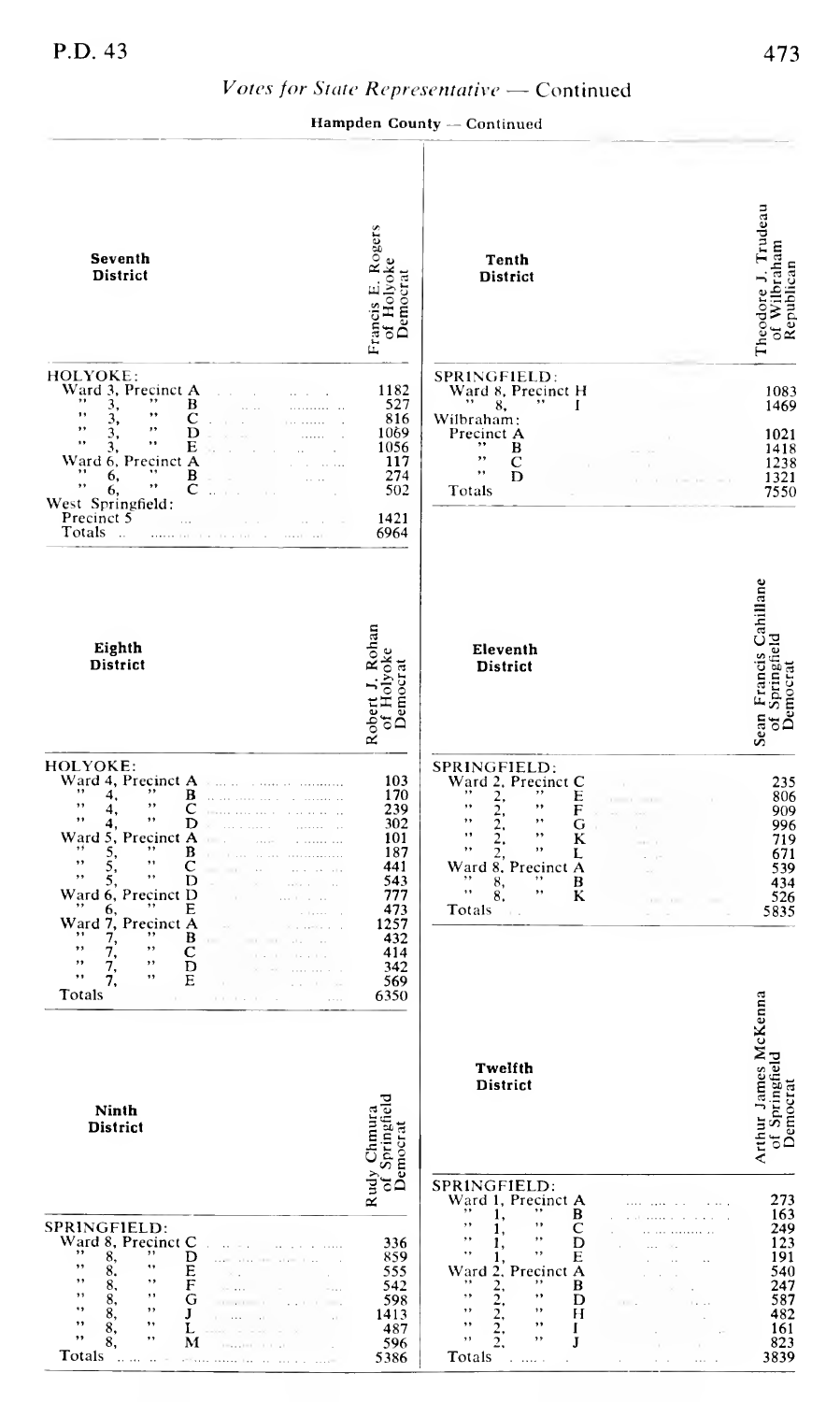Hampden County — Continued

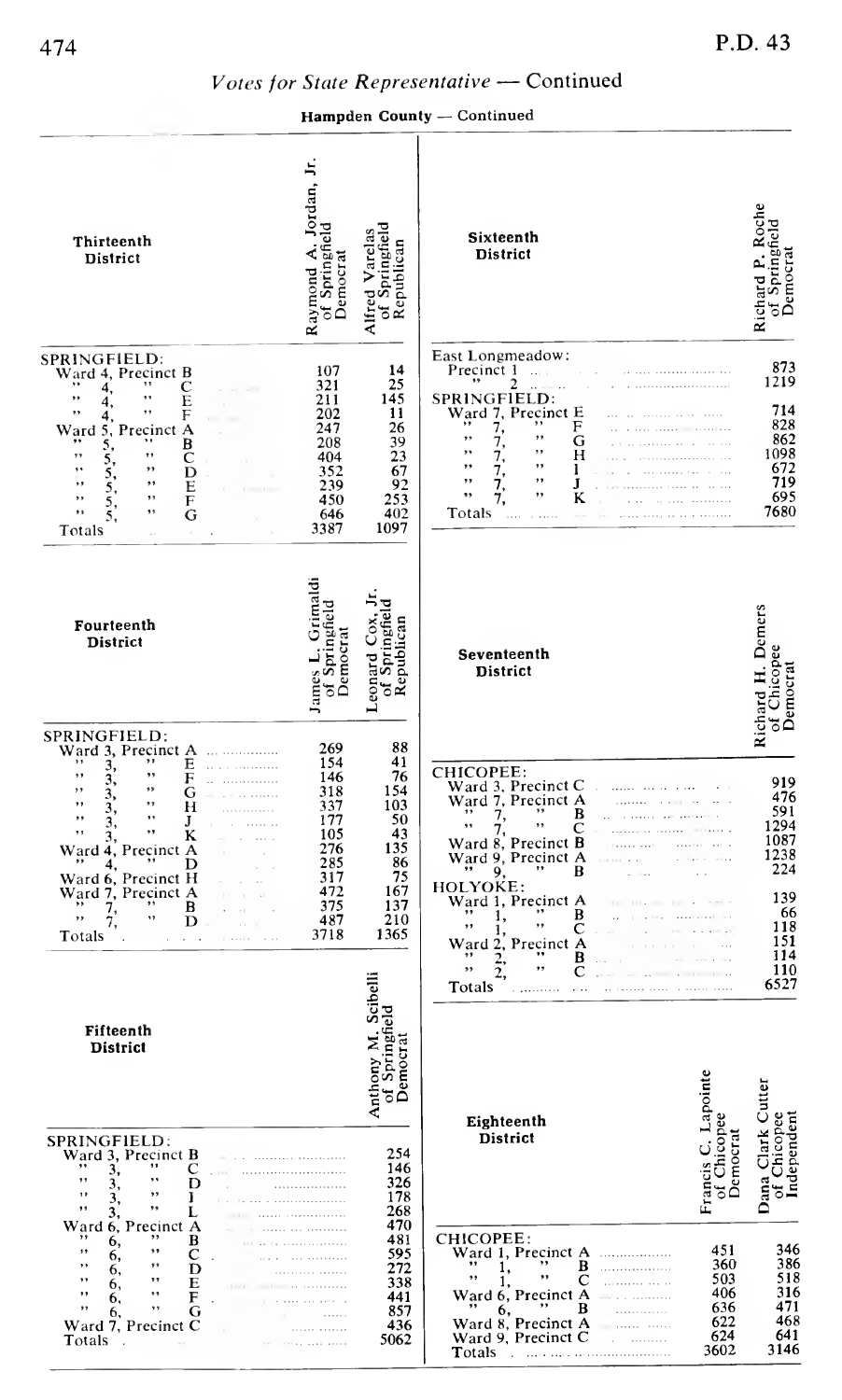Hampden County - Continued

| Thirteenth<br>District                                                                                                                                                                                                                                                                                                                                                                                                                   | Raymond A. Jordan, Jr.<br>of Springfield<br>Democrat                                                                                                                                                                    | Alfred Varelas<br>of Springfield<br>Republican                                                                     | Sixteenth<br>District                                                                                                                                                                                                                                                                                                                                                                                                                                                                                                                                                                                                                                                                                                                                                                              | Richard P. Roche<br>of Springfield<br>Democrat                              |
|------------------------------------------------------------------------------------------------------------------------------------------------------------------------------------------------------------------------------------------------------------------------------------------------------------------------------------------------------------------------------------------------------------------------------------------|-------------------------------------------------------------------------------------------------------------------------------------------------------------------------------------------------------------------------|--------------------------------------------------------------------------------------------------------------------|----------------------------------------------------------------------------------------------------------------------------------------------------------------------------------------------------------------------------------------------------------------------------------------------------------------------------------------------------------------------------------------------------------------------------------------------------------------------------------------------------------------------------------------------------------------------------------------------------------------------------------------------------------------------------------------------------------------------------------------------------------------------------------------------------|-----------------------------------------------------------------------------|
| SPRINGFIELD:<br>Ward 4, Precinct B<br>4.<br>Ċ<br>,,<br>,,<br>Ē<br>4,<br>٠,<br>,,<br>F<br>4<br>5. Precinct<br>A<br>Ward<br>5,<br>5,<br>5<br>B<br>C<br>,,<br>.,<br>,,<br>s.<br>Ď<br>,,<br>E<br>5.<br>,,<br>š,<br>$_{\rm G}^{\rm F}$<br>,,<br>5.<br>Totals                                                                                                                                                                                  | 107<br>321<br>$\frac{211}{202}$<br>$\frac{247}{208}$<br>404<br>352<br>239<br>450<br>646<br>3387                                                                                                                         | 14<br>$\overline{25}$<br>$\frac{145}{11}$<br>$\frac{26}{39}$<br>23<br>$\frac{67}{92}$<br>253<br>402<br>1097        | East Longmeadow:<br>Precinct $\frac{1}{2}$<br>SPRINGFIELD:<br>Ward 7, Precinct E<br>"<br>"<br>"<br>"<br>"<br>"<br>"<br>"<br>"<br>a communication<br>a paramain a característica.<br>A componente de<br>,,<br>,,<br>7,<br>7,<br>н<br>,,<br>,,<br>Summaring the<br>ı<br>,,<br>,,<br>J<br>,,<br>,,<br>ĸ<br>7,<br>and a marketing<br>Totals                                                                                                                                                                                                                                                                                                                                                                                                                                                            | 873<br>1219<br>714<br>828<br>862<br>1098<br>719<br>695<br>7680              |
| Fourteenth<br>District                                                                                                                                                                                                                                                                                                                                                                                                                   | James L. Grimaldi<br>of Springfield<br>Democrat                                                                                                                                                                         | Leonard Cox, Jr.<br>of Springfield<br>Republican                                                                   | Seventeenth<br>District                                                                                                                                                                                                                                                                                                                                                                                                                                                                                                                                                                                                                                                                                                                                                                            | Richard H. Demers<br>of Chicope<br>of Chicop                                |
| SPRINGFIELD:<br>Ward<br>$\frac{3}{3}$ , Precinct<br>A<br>3,<br>3,<br>Ε<br>,,<br>٠,<br>F<br>,,<br>٠,<br>3,<br>G<br>ö.<br>,,<br>,,<br>ä,<br>н<br>,,<br>,,<br>$\frac{3}{3}$<br>J<br>٠,<br>,,<br>K<br>4, Precinct $\overrightarrow{A}$<br>4, Precinct $\overrightarrow{D}$<br>Ward<br>''<br>Ward 6, Precinct H<br>Ward 7, Precinct A<br>$\begin{array}{c} \nM_{\text{av}} \\ \rightarrow \n\end{array}$<br>,,<br>D<br>7,<br>Totals<br>$\sim$ | 269<br>154<br>146<br>318<br>$\mathcal{L}$ is a constant<br>337<br>177<br>105<br>$\frac{276}{285}$<br>$\frac{317}{252}$<br>$\frac{472}{375}$<br>$\bar{t}$<br>$\lambda$<br>à.<br>ò,<br>487<br>à,<br>3718<br><b>County</b> | 88<br>$\frac{41}{76}$<br>154<br>$\frac{103}{50}$<br>43<br>135<br>$86$<br>$75$<br>$167$<br>$137$<br>$210$<br>$1365$ | CHICOPEE:<br>Ward 3, Precinct C<br>Ward 7, Precinct A<br>$\begin{array}{cc}\n & 7, & \text{N} \\  & 7, & \text{N}\n\end{array}$<br>$\sim 100$<br>ما ما روابط السلطان.<br>جمعیت میکنند از<br>,,<br>,,<br>ē<br>$\frac{7}{10}$ , $\frac{7}{10}$ , $\frac{10}{10}$ $\frac{10}{10}$<br>marches and the control<br>Ward 9, Precinct A<br>cincia con<br>$\sim$ - $\sim$ - $\sim$ - $\sim$<br>$\overline{W}_{m}$ $\overline{W}_{n}$ $\overline{W}_{n}$ $\overline{W}_{n}$ $\overline{W}_{n}$ $\overline{W}_{n}$ $\overline{W}_{n}$ $\overline{W}_{n}$<br>$114 - 114$<br>B<br>1,<br>$\mu \rightarrow \mu \nu \nu$ , assuming to<br>,,<br>C<br>1,<br>$\begin{array}{lllllllllllll} \star & \circ & \circ & \circ & \circ & \circ \\ \star & \circ & \circ & \circ & \circ & \circ \end{array}$<br>Precinct A | 919<br>476<br>591<br>1294<br>1087<br>1238<br>224<br>139<br>66<br>118<br>151 |
| Fifteenth<br>District                                                                                                                                                                                                                                                                                                                                                                                                                    |                                                                                                                                                                                                                         | Anthony M. Scibelli<br>of Springfield<br>Democrat                                                                  | Ward $\frac{2}{3}$ ,<br>$\frac{2}{2}$ ,<br>B<br>.<br>$\sim$<br>,,<br>C<br>Totals<br>$\sim 100$<br>.<br>Eighteenth                                                                                                                                                                                                                                                                                                                                                                                                                                                                                                                                                                                                                                                                                  | 114<br>110<br>6527                                                          |
| SPRINGFIELD:<br>Ward 3, Precinct B<br>,,<br>,,<br>3,<br>D<br>,,<br>,,<br>3,<br>I<br>,,<br>,,<br>3,<br>L                                                                                                                                                                                                                                                                                                                                  | ÷.                                                                                                                                                                                                                      | 254<br>146<br>326<br>178<br>268                                                                                    | Francis C. Lapointe<br>of Chicopee<br>Democrat<br>District                                                                                                                                                                                                                                                                                                                                                                                                                                                                                                                                                                                                                                                                                                                                         | Dana Clark Cutter<br>of Chicopee<br>Independent                             |
| 6, Precinct A<br>Ward<br>,,<br>,,<br>в<br>6,<br>,,<br>,,<br>Ċ<br>6,<br>,,<br>,,<br>D<br>6,<br>,,<br>٠,<br>E<br>6,<br>,,<br>,,<br>6,<br>F<br>,,<br>,,<br>G<br>6,<br>Ward 7, Precinct C<br>Totals                                                                                                                                                                                                                                          | and an announcement<br><b>Common Common</b><br>sales and and                                                                                                                                                            | 470<br>481<br>595<br>272<br>338<br>441<br>857<br>436<br>5062                                                       | CHICOPEE:<br>451<br>Ward 1, Precinct A<br>.<br>$_{\rm C}^{\rm B}$<br>360<br>.<br>1,<br>,,<br>,,<br>503<br>1,<br>406<br>Ward $\overset{\bullet}{\phantom{a}}\underset{6}{\text{of}}$ , Precinct A<br>636<br>$\frac{1}{6}$ , $\frac{1}{6}$ , $\frac{1}{6}$ , $\frac{1}{6}$<br>622<br>624<br>Ward 9, Precinct C<br>$\mathcal{L} = \{1,2,3,4,5,6,6\}$<br>3602<br>Totals                                                                                                                                                                                                                                                                                                                                                                                                                                | 346<br>386<br>$\frac{518}{316}$<br>$\frac{316}{471}$<br>468<br>641<br>3146  |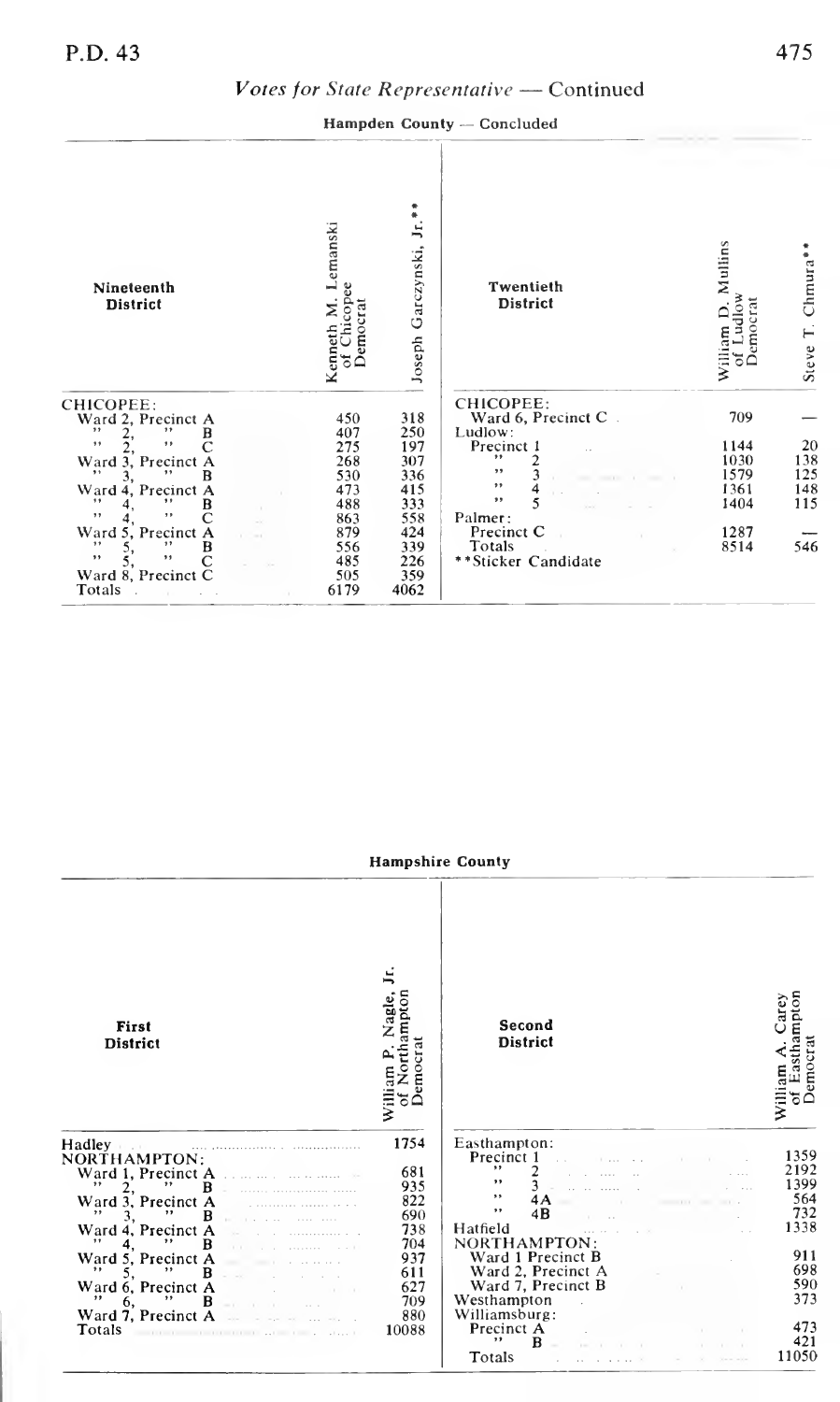Hampden County — Concluded

| Nineteenth<br><b>District</b>                                                                                                                                                                                                                                                                                                        | emanski<br>cope<br>ż<br>a<br>emo<br>Kenneth<br>ð<br>≏                                    | ٠<br>ú,<br>∽<br>Garczynski,<br>Joseph                                                    | Twentieth<br>District                                                                                                                     | Mullins<br>wolpn<br>of Ludiow<br>Democrat<br>William        | Chmura*<br>$\vdash$<br>Steve          |
|--------------------------------------------------------------------------------------------------------------------------------------------------------------------------------------------------------------------------------------------------------------------------------------------------------------------------------------|------------------------------------------------------------------------------------------|------------------------------------------------------------------------------------------|-------------------------------------------------------------------------------------------------------------------------------------------|-------------------------------------------------------------|---------------------------------------|
| CHICOPEE:<br>Ward 2, Precinct A<br>$\ddot{\phantom{1}}$<br>$\ddot{\phantom{1}}$<br>٠<br>B<br>$, \,$<br>$^{\prime}$<br>Ward 3. Precinct A<br>$\ddot{\phantom{1}}$<br>3.<br>R<br>Ward 4. Precinct A<br>$\ddot{\phantom{0}}$<br>$\cdots$<br>B<br>,,<br>,,<br>Ward 5, Precinct A<br>в<br>$\cdots$<br>, ,<br>Ward 8, Precinct C<br>Totals | 450<br>407<br>275<br>268<br>530<br>473<br>488<br>863<br>879<br>556<br>485<br>505<br>6179 | 318<br>250<br>197<br>307<br>336<br>415<br>333<br>558<br>424<br>339<br>226<br>359<br>4062 | CHICOPEE:<br>Ward 6, Precinct C<br>Ludlow:<br>Precinct 1<br>,,<br>,,<br>"<br>,,<br>Palmer:<br>Precinct C<br>Totals<br>**Sticker Candidate | 709<br>1144<br>1030<br>1579<br>1361<br>1404<br>1287<br>8514 | 20<br>138<br>125<br>148<br>115<br>546 |



| First<br>District                                                                  | Northampton<br>Nagle,<br>emocrat<br>William<br>ัธี∩ั | Second<br><b>District</b>                | Easthampton<br>Carey<br>Democrat<br>William<br>đ |
|------------------------------------------------------------------------------------|------------------------------------------------------|------------------------------------------|--------------------------------------------------|
| Hadley<br>NORTHAMPTON:                                                             | 1754                                                 | Easthampton:<br>Precinct 1<br>$\cdot$    | 1359<br>2192                                     |
| Ward 1, Precinct A<br>the company of the company of the<br>ź.<br>B                 | 681<br>935                                           | ,,                                       | 1399                                             |
| Ward 3, Precinct A                                                                 | 822                                                  | ,,                                       | 564                                              |
| B<br>3,<br>and the company of the company                                          | 690                                                  | ,,<br>4B                                 | 732                                              |
| Ward 4, Precinct A                                                                 | 738                                                  | Hatfield                                 | 1338                                             |
| 4.<br>B                                                                            | 704                                                  | NORTHAMPTON:                             |                                                  |
| Ward 5, Precinct A                                                                 | 937                                                  | Ward 1 Precinct B                        | 911<br>698                                       |
| B<br>5.                                                                            | 611<br>627                                           | Ward 2, Precinct A<br>Ward 7, Precinct B | 590                                              |
| Ward 6, Precinct A<br>$\ddot{\phantom{1}}$<br>6,<br>B                              | 709                                                  | Westhampton                              | 373                                              |
| $\sim$<br>Ward 7, Precinct A                                                       | 880                                                  | Williamsburg:                            |                                                  |
| Totals<br>the contract of the contract of the contract of the contract of the con- | 10088                                                | Precinct A                               | 473                                              |
|                                                                                    |                                                      | .,<br>$\overline{\mathbf{B}}$            | 421                                              |
|                                                                                    |                                                      | Totals                                   | 11050                                            |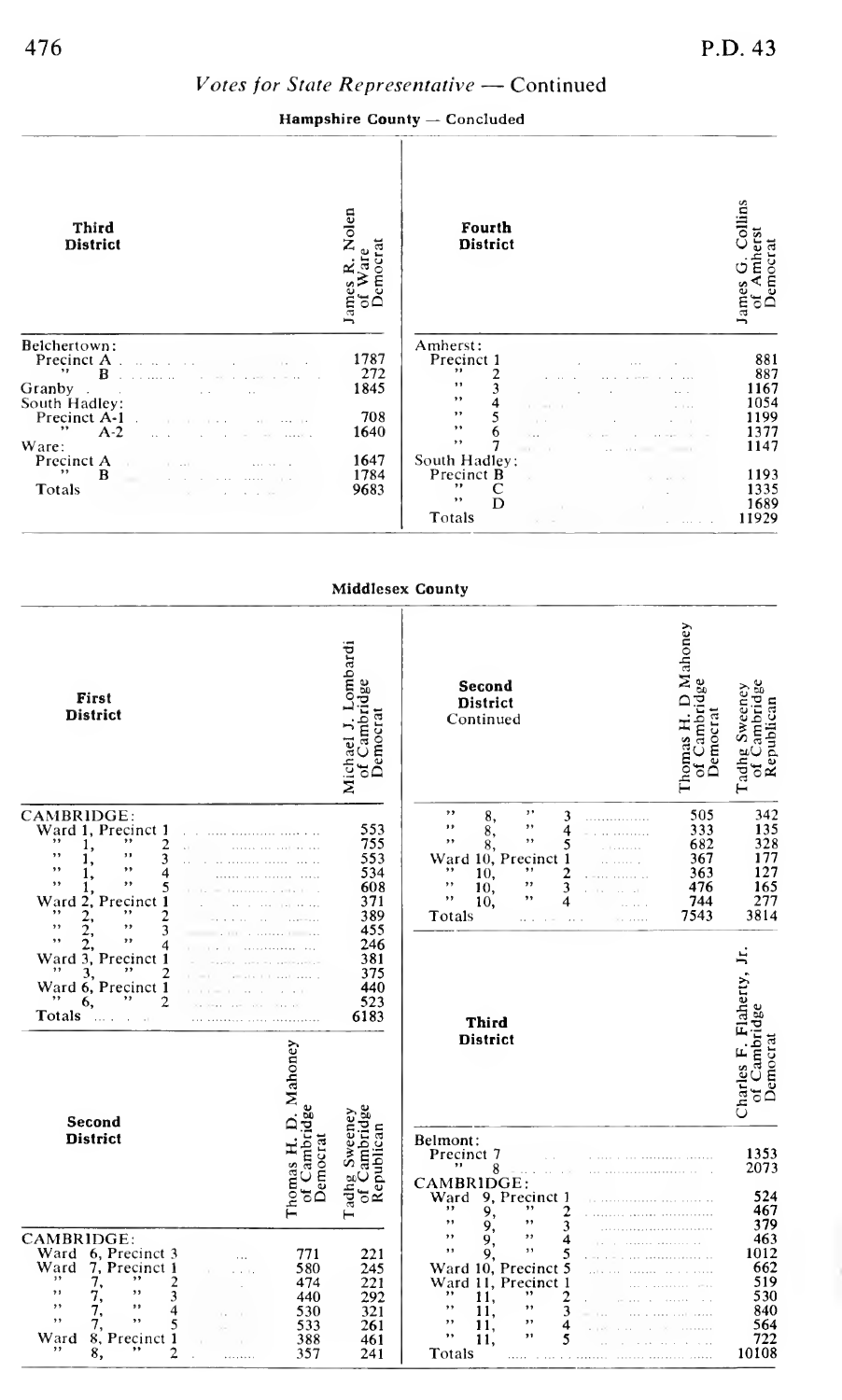## Hampshire County — Concluded

| Third                                                                                                                                                                                                  | Nolen                                                      | Fourth                                                                                                                                         |                                                                                     |
|--------------------------------------------------------------------------------------------------------------------------------------------------------------------------------------------------------|------------------------------------------------------------|------------------------------------------------------------------------------------------------------------------------------------------------|-------------------------------------------------------------------------------------|
| <b>District</b>                                                                                                                                                                                        | Ê                                                          | <b>District</b>                                                                                                                                |                                                                                     |
| Belchertown:<br>Precinct A<br>$\cdots$<br>B<br>Granby<br>$\sim$<br>South Hadley:<br>Precinct A-1<br>$\cdots$<br>$A-2$<br>Ware:<br>Precinct A<br><b>Contract</b><br>$\ddot{\phantom{1}}$<br>B<br>Totals | 1787<br>272<br>1845<br>708<br>1640<br>1647<br>1784<br>9683 | Amherst:<br>Precinct 1<br>,,<br>,<br>$\ddot{\phantom{1}}$<br>$, \,$<br>$, \,$<br>, ,<br>South Hadley:<br>Precinct B<br>.,<br>.,<br>D<br>Totals | 881<br>887<br>1167<br>1054<br>1199<br>1377<br>1147<br>1193<br>1335<br>1689<br>11929 |

**Middlesex County** 

| First<br><b>District</b>                                                                                                                                                                                                                                                 |                                                      | Michael J. Lombardi<br>Cambridge<br>of Cambri         | D Mahoney<br>Cambridge<br>Second<br>District<br>Democrat<br>Thomas H.<br>Continued<br>$\epsilon$                                                                                                                                                                              | Sweene;<br>Cambrid<br>Republican<br>Tadhg<br>ð                 |
|--------------------------------------------------------------------------------------------------------------------------------------------------------------------------------------------------------------------------------------------------------------------------|------------------------------------------------------|-------------------------------------------------------|-------------------------------------------------------------------------------------------------------------------------------------------------------------------------------------------------------------------------------------------------------------------------------|----------------------------------------------------------------|
| CAMBRIDGE:<br>Ward 1, Precinct 1<br>,,<br>;,<br>$\frac{2}{3}$<br>1.<br>,,<br>,,<br>,,<br>$\ddot{\phantom{1}}$<br>$\overline{a}$<br>,,<br>,,<br>5<br>2.<br>Precinct 1<br>Ward<br>,,<br>,,<br>$\overline{c}$<br>2<br>,,<br>,,<br>$\overline{\mathbf{3}}$<br>$\overline{c}$ |                                                      | 553<br>755<br>553<br>534<br>608<br>371<br>389<br>455  | ,,<br>,,<br>505<br>8,<br>3<br>$\cdots$<br>,,<br>333<br>8.<br>4<br>,,<br>,,<br>5<br>682<br>8.<br>367<br>Precinct 1<br>Ward 10,<br>10.<br>$\overline{2}$<br>363<br>,,<br>,,<br>3<br>476<br>10,<br>,,<br>,,<br>$\overline{\mathbf{A}}$<br>744<br>10,<br>Totals<br>7543<br>$\sim$ | 342<br>135<br>328<br>177<br>127<br>165<br>277<br>3814          |
| ,,<br>,,<br>Ward<br>3.<br>Precinct 1<br>$\overline{c}$<br>3<br>Ward 6, Precinct 1<br>$\overline{2}$<br>6,<br>Totals<br>$\sim$                                                                                                                                            | Mahoney                                              | 246<br>381<br>375<br>440<br>523<br>6183               | Third<br><b>District</b>                                                                                                                                                                                                                                                      | Flaherty,<br>Cambridge<br>Democrat<br>Charles<br>ă             |
| Second<br><b>District</b>                                                                                                                                                                                                                                                | g<br>of Cambr<br>Democra<br>Thomas                   | ambridge<br>Sweeney<br>epublican<br>Tadhg:<br>ัธ<br>⇙ | Belmont:<br>Precinct 7<br>8<br>CAMBRIDGE:<br>9.<br>Ward<br>Precinct 1<br>,,<br>9<br>$\overline{c}$<br>,,<br>,,<br>3<br>9                                                                                                                                                      | 1353<br>2073<br>524<br>467<br>379                              |
| CAMBRIDGE:<br>Ward 6, Precinct 3<br>Ward 7, Precinct 1<br>$\overline{c}$<br>7.<br>$\ddot{\phantom{1}}$<br>,,<br>3<br>7.<br>,,<br>,,<br>7.<br>4<br>,,<br>,,<br>5<br>7,<br>Ward<br>8,<br>Precinct 1<br>,,<br>8,<br>$\overline{c}$                                          | 771<br>580<br>474<br>440<br>530<br>533<br>388<br>357 | 221<br>245<br>221<br>292<br>321<br>261<br>461<br>241  | ,,<br>,,<br>$\overline{\bf{4}}$<br>9<br>,,<br>,,<br>5<br>9<br>Precinct 5<br>Ward 10,<br>Precinct 1<br>Ward 11<br>,,<br>2<br>11.<br>,,<br>,,<br>3<br>11.<br>,,<br>,,<br>4<br>11,<br>,,<br>,,<br>5<br>11,<br>Totals                                                             | 463<br>1012<br>662<br>519<br>530<br>840<br>564<br>722<br>10108 |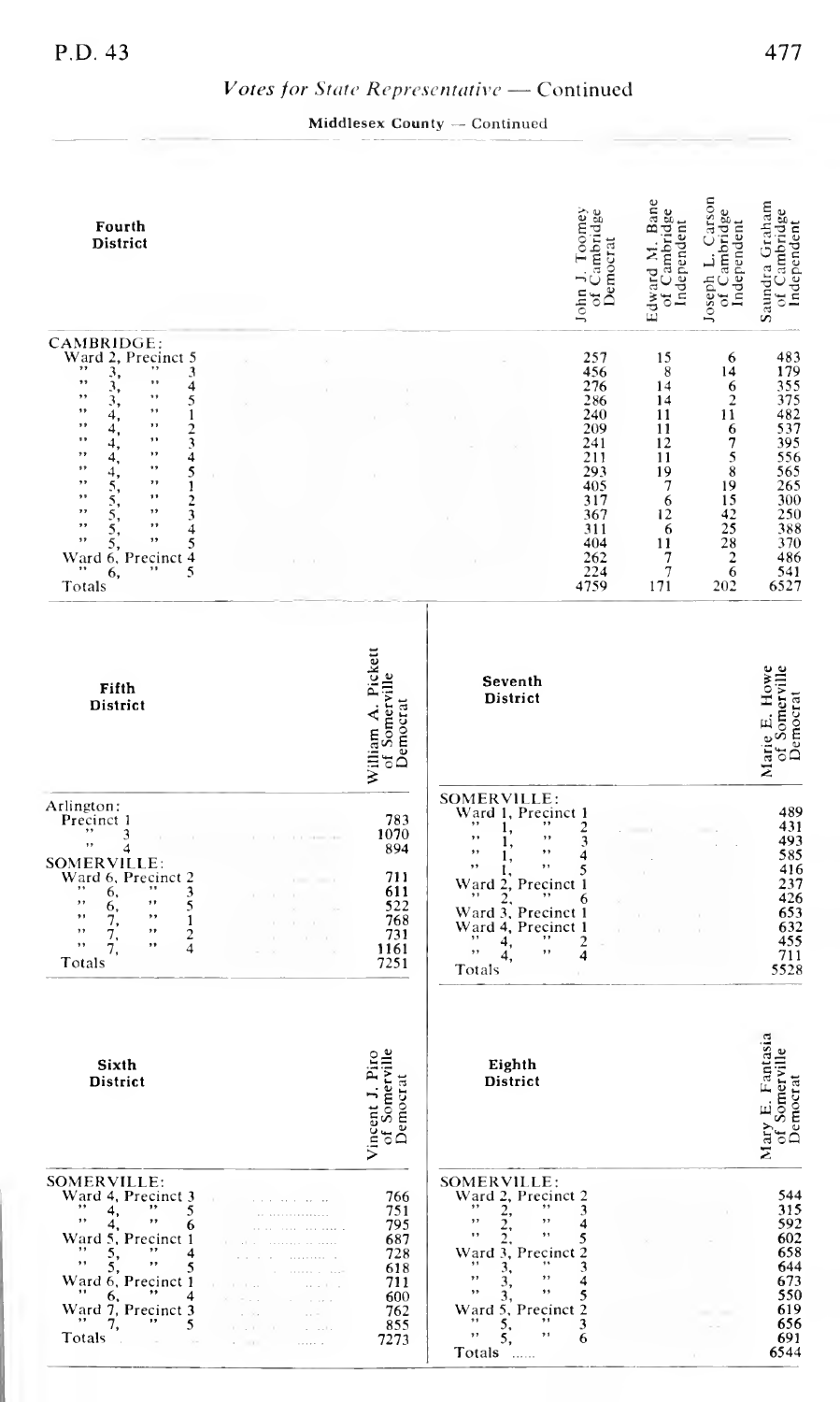| Fourth<br>District                                                                                                                                                                                                                                                                                                                                |                                                                                                              |                                                                                          |                                                                                                                                                                                                                                                               | John J. Toomey<br>of Cambridge<br>Democrat                                                                                                          | Edward M. Bane<br>of Cambridge<br>Independent                                                                      | Joseph L. Carson<br>of Cambridge<br>Independent      | Saundra Graham<br>of Cambridge<br>Independent                                                                               |
|---------------------------------------------------------------------------------------------------------------------------------------------------------------------------------------------------------------------------------------------------------------------------------------------------------------------------------------------------|--------------------------------------------------------------------------------------------------------------|------------------------------------------------------------------------------------------|---------------------------------------------------------------------------------------------------------------------------------------------------------------------------------------------------------------------------------------------------------------|-----------------------------------------------------------------------------------------------------------------------------------------------------|--------------------------------------------------------------------------------------------------------------------|------------------------------------------------------|-----------------------------------------------------------------------------------------------------------------------------|
| CAMBRIDGE:<br>Ward 2, Precinct 5<br>$\frac{3}{3}$ , $\frac{3}{3}$<br>,,<br>,,<br>3,<br>451234512345<br>,,<br>.,<br>3.<br>,,<br>,,<br>4<br>,,<br>,,<br>4,<br>,,<br>,,<br>4,<br>,,<br>,,<br>4,<br>;;;;;;;;<br>.,<br>4,5,5,5,5,5,5,5,5,5,5,<br>,,<br>,,<br>,,<br>,,<br>,,<br>,,<br>,,<br>$\frac{1}{4}$<br>Ward<br>$6.$ Precinct<br>6,<br>5<br>Totals |                                                                                                              |                                                                                          |                                                                                                                                                                                                                                                               | 257<br>$456$<br>$276$<br>$286$<br>$240$<br>$209$<br>$\frac{241}{211}$<br>293<br>$\frac{405}{317}$<br>367<br>311<br>404<br>$\frac{262}{224}$<br>4759 | 15<br>8<br>14<br>14<br>11<br>11<br>$\frac{12}{11}$<br>$\frac{19}{7}$<br>6<br>12<br>6<br>11<br>$\frac{1}{7}$<br>171 | 6<br>14<br>$62116758$<br>$1953226$<br>$202$<br>$202$ | 483<br>179<br>355<br>375<br>482<br>537<br>556<br>565<br>565<br>265<br>300<br>250<br>388<br>370<br>486<br>$\frac{541}{6527}$ |
| Fifth<br>District                                                                                                                                                                                                                                                                                                                                 |                                                                                                              | William A. Pickett<br>of Somerville<br>Democrat                                          | Seventh<br>District                                                                                                                                                                                                                                           |                                                                                                                                                     |                                                                                                                    |                                                      | Marie E. Howe<br>of Somerville<br>Democrat                                                                                  |
| Arlington:<br>Precinct 1<br>3<br>.,<br>4<br>SOMERVILLE:<br>DMER VILLE:<br>Ward 6, Precinct 2<br>" 6, " 5<br>" 7, " 1<br>" 7, " 2<br>Turb.<br>Totals                                                                                                                                                                                               |                                                                                                              | 783<br>1070<br>894<br>711<br>611<br>522<br>768<br>731<br>1161<br>7251                    | SOMERVILLE:<br>Ward 1, Precinct 1<br>$\begin{array}{cc}\n & 1, & 2 \\  & 1, & 2 \\  & 1, & 3\n\end{array}$<br>,,<br>,,<br>1,<br>,,<br>,,<br>1,<br>Ward 2, Precinct 1<br>Ward 3, Precinct 1<br>$\frac{1}{2}$ and 4, Precinct 1<br>4,<br>,,<br><br>4,<br>Totals | 4<br>ś<br>$\frac{2}{4}$                                                                                                                             |                                                                                                                    |                                                      | 489<br>431<br>493<br>585<br>416<br>237<br>426<br>653<br>455<br>711<br>5528                                                  |
| Sixth<br>District                                                                                                                                                                                                                                                                                                                                 |                                                                                                              | of Somerville<br>Democrat<br>Vincent J. Piro                                             | Eighth<br>District                                                                                                                                                                                                                                            |                                                                                                                                                     |                                                                                                                    |                                                      | Mary E. Fantasia<br>of Somerville<br>Democrat                                                                               |
| SOMERVILLE:<br>Ward 4, Precinct 3<br>4,<br>5<br>$\ddot{\phantom{a}}$<br>,,<br>4.<br>6<br>Ward 5, Precinct 1<br>$\frac{5}{5}$ , $\frac{1}{10}$ , $\frac{4}{5}$<br>$\frac{5}{5}$<br>$\frac{4}{5}$<br>Ward 6, Precinct 1<br>6,<br>$\frac{4}{3}$<br>ī,<br>Precinct<br>Ward<br>7,<br>Totals<br>$\lambda$                                               | $\mathcal{L}=\{1,2,3,4,5\}$<br>$\sim$ $\sim$<br>$\sim$<br>$\mathbf{r} \rightarrow \mathbf{r}$<br>$\sim$<br>. | 766<br>$\frac{751}{795}$<br>687<br>728<br>618<br>711<br>$\frac{600}{762}$<br>855<br>7273 | 3,<br>,,<br>,,<br>3,<br>,,<br>,,<br>3,<br>Ward $\frac{5}{5}$ , Precinct<br>$\frac{5}{5}$ , $\frac{5}{1}$<br>Totals                                                                                                                                            | $\frac{5}{3}$<br>$\frac{4}{5}$<br>$\frac{2}{3}$<br>6                                                                                                |                                                                                                                    |                                                      | 544<br>315<br>592<br>602<br>658<br>644<br>673<br>550<br>656<br>656<br>6544                                                  |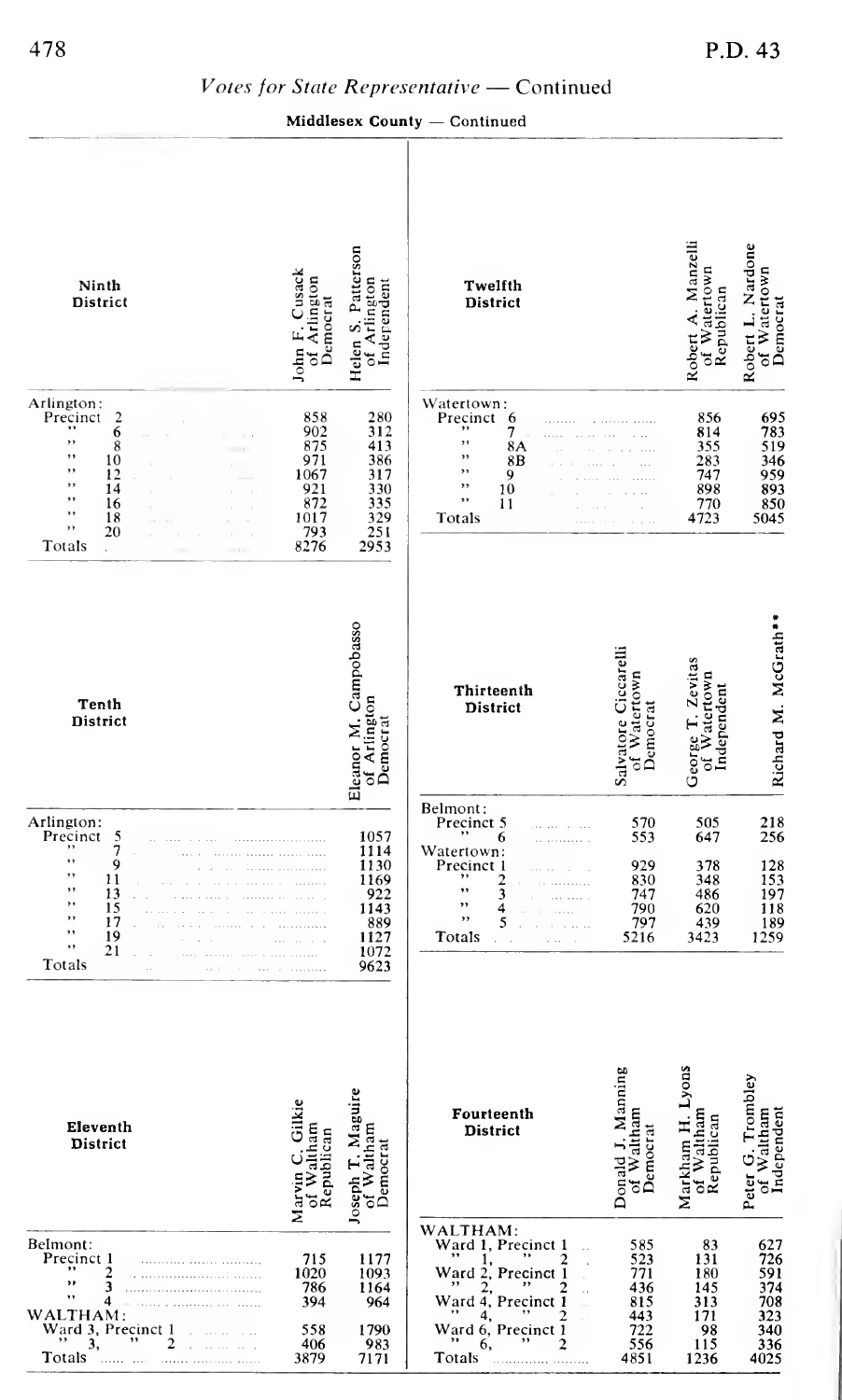| Ninth<br>District                                                                                                                                                                                                                                                                                                | John F. Cusack<br>of Arlington<br>Democrat                                                                                 | Helen S. Patterson<br>of Arlington<br>Independent                                                                             | Twelfth<br>District                                                                                                                                                                                                                                                                                                                                                                                                                                                                                                                                                                                                                                                                        |                                                              | Robert A. Manzelli<br>of Watertown<br>Republican                         | Robert L. Nardone<br>of Watertown<br>Democrat                                        |
|------------------------------------------------------------------------------------------------------------------------------------------------------------------------------------------------------------------------------------------------------------------------------------------------------------------|----------------------------------------------------------------------------------------------------------------------------|-------------------------------------------------------------------------------------------------------------------------------|--------------------------------------------------------------------------------------------------------------------------------------------------------------------------------------------------------------------------------------------------------------------------------------------------------------------------------------------------------------------------------------------------------------------------------------------------------------------------------------------------------------------------------------------------------------------------------------------------------------------------------------------------------------------------------------------|--------------------------------------------------------------|--------------------------------------------------------------------------|--------------------------------------------------------------------------------------|
| Arlington:<br>Precinct<br>$\overline{c}$<br>6<br>,,<br>$\frac{8}{10}$<br>,,<br>,,<br>$\frac{12}{14}$<br>,,<br>$\epsilon \rightarrow$<br>,,<br>16<br>ÿ<br>$\frac{1}{2}$<br>,,<br>18<br>,,<br>20<br>$\mathbf{r} = \mathbf{r}$<br>Totals<br>k.<br>$\sim$ 0.0                                                        | 858<br>902<br>875<br>971<br>$\begin{array}{c}\n 71 \\  1067 \\  921 \\  872 \\  1017 \\  793 \\  276\n\end{array}$<br>8276 | 280<br>312<br>413<br>386<br>$\frac{317}{330}$<br>$\begin{array}{r} 335 \\ 335 \\ 329 \\ 251 \\ 2953 \end{array}$              | Watertown:<br>Precinct<br>$^{6}_{78}$ A<br>8A<br>9<br>9<br>,,<br>,,<br>,,<br>,,<br>10<br>,,<br>11<br>$\alpha = 0.01$<br>Totals<br>$\label{eq:1} \begin{array}{lllllllllll} \alpha_{1} & \alpha_{2} & \alpha_{3} & \alpha_{4} & \alpha_{5} \end{array}$                                                                                                                                                                                                                                                                                                                                                                                                                                     | $\bar{z}$                                                    | 856<br>814<br>355<br>283<br>747<br>898<br>770<br>4723                    | 695<br>783<br>519<br>546<br>346<br>959<br>893<br>850<br>5045                         |
| Tenth<br>District                                                                                                                                                                                                                                                                                                |                                                                                                                            | Eleanor M. Campobasso<br>of Arlington<br>Democrat                                                                             | Thirteenth<br>District                                                                                                                                                                                                                                                                                                                                                                                                                                                                                                                                                                                                                                                                     | Salvatore Ciccarelli<br>of Watertown<br>Democrat             | George T. Zevitas<br>of Watertown<br>Independent                         | Richard M. McGrath**                                                                 |
| Arlington:<br>Precinct<br>$\frac{5}{7}$<br>٠,<br>$\epsilon$ , $\epsilon$ , $\alpha$ , $\alpha$ and an anomal<br>,,<br>11<br>companies and companies and company<br>,,<br>$\frac{13}{15}$<br>,,<br>,,<br>,,<br>19<br>$\omega_{\rm{max}}$<br>and the month<br>,,<br>21<br>Totals<br>and the company of the company |                                                                                                                            | $\begin{array}{c} 1057 \\ 1114 \end{array}$<br>$\frac{1130}{1169}$<br>$\frac{922}{1143}$<br>$889$<br>$1127$<br>$1072$<br>9623 | $\overline{\text{Belmont:}} \atop \text{Precinct 5}_{\text{of 6}}$<br>and and continued<br>Watertown:<br>Precinct 1<br>$\begin{array}{ccc}\n & \text{?} \\  & \text{?} \\  & \text{?} \\  & \text{?} \\  & \text{?} \\  & \text{?} \\  & \text{?} \\  & \text{?} \\  & \text{?} \\  & \text{?} \\  & \text{?} \\  & \text{?} \\  & \text{?} \\  & \text{?} \\  & \text{?} \\  & \text{?} \\  & \text{?} \\  & \text{?} \\  & \text{?} \\  & \text{?} \\  & \text{?} \\  & \text{?} \\  & \text{?} \\  & \text{?} \\  & \text{?} \\  & \text{?} \\  & \text{?} \\  & \text{?} \\  & \text{$<br>$\mathcal{C}^{\mathcal{C}}$ , and $\mathcal{C}^{\mathcal{C}}$<br>Totals<br>$\omega = \omega$ | 570<br>553<br>929<br>830<br>747<br>790<br>797<br>5216        | 505<br>647<br>378<br>348<br>486<br>620<br>439<br>3423                    | 218<br>256<br>$\begin{array}{c} 128 \\ 153 \\ 197 \\ 118 \\ 189 \\ 1259 \end{array}$ |
| Eleventh<br>District                                                                                                                                                                                                                                                                                             | Marvin C. Gilkie<br>of Waltham<br>Republican                                                                               | Joseph T. Maguire<br>of Waltham<br>Democrat                                                                                   | Fourteenth<br>District                                                                                                                                                                                                                                                                                                                                                                                                                                                                                                                                                                                                                                                                     | Donald J. Manning<br>of Waltham<br>Democrat                  | Markham H. Lyons<br>of Waltham<br>Republican                             | Peter G. Trombley<br>of Waltham<br>Independent                                       |
| BeImont:<br>Precinct 1<br>$\begin{array}{c} n \rightarrow 2 \\ n \rightarrow 3 \\ n \rightarrow 4 \end{array}$<br>in the comment of their<br>WALTHAM:<br>Ward 3, Precinct 1<br>m 3, $\frac{1}{2}$<br>Totals                                                                                                      | $\begin{array}{r} 715 \\ 1020 \\ 786 \\ 394 \end{array}$<br>558<br>406<br>3879                                             | 1177<br>1093<br>1164<br>964<br>1790<br>983<br>7171                                                                            | WALTHAM:                                                                                                                                                                                                                                                                                                                                                                                                                                                                                                                                                                                                                                                                                   | 585<br>523<br>771<br>436<br>435<br>443<br>722<br>556<br>4851 | $\frac{83}{131}$<br>180<br>145<br>313<br>317<br>171<br>98<br>115<br>1236 | $627$<br>$726$<br>$591$<br>$374$<br>$708$<br>$323$<br>$340$<br>$336$<br>$4025$       |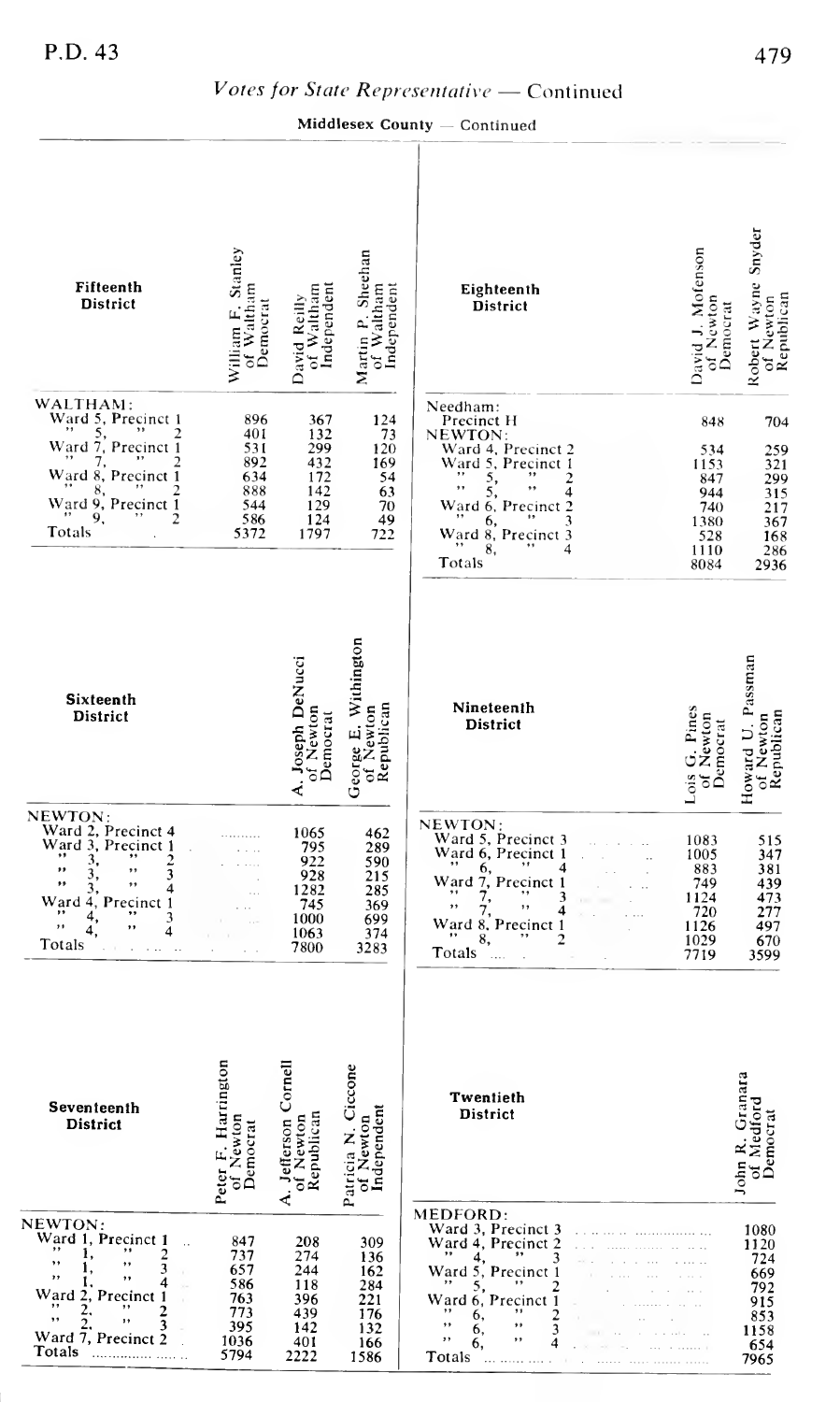| Fifteenth<br><b>District</b>                                                                                                                                                                                                                                                                                                    | William F. Stanley<br>of Waltham<br>Democrat                                  | of Waltham<br>Independent<br>David Reilly                                                                      | Martin P. Sheehan<br>of Waltham<br>Independent                                                         | David J. Mofenson<br>Eighteenth<br>District                                                                                                                                                                                                                                                                                                                                                                        | Robert Wayne Snyder<br>of Newton<br>Republican<br>of Newton<br>Democrat                                                   |
|---------------------------------------------------------------------------------------------------------------------------------------------------------------------------------------------------------------------------------------------------------------------------------------------------------------------------------|-------------------------------------------------------------------------------|----------------------------------------------------------------------------------------------------------------|--------------------------------------------------------------------------------------------------------|--------------------------------------------------------------------------------------------------------------------------------------------------------------------------------------------------------------------------------------------------------------------------------------------------------------------------------------------------------------------------------------------------------------------|---------------------------------------------------------------------------------------------------------------------------|
| WALTHAM:<br>Ward 5, Precinct 1<br>Ward $\frac{7}{7}$ , Precinct<br>$\mathbf{1}$<br>Ward 8, Precinct<br>$\frac{1}{2}$<br>8,<br>Ward $\frac{9}{9}$ , Precinct<br>Totals                                                                                                                                                           | 896<br>401<br>531<br>892<br>634<br>888<br>544<br>586<br>5372                  | 367<br>132<br>299<br>432<br>172<br>172<br>142<br>129<br>124<br>1797                                            | $\frac{124}{73}$<br>$\frac{120}{120}$<br>$\frac{169}{54}$<br>$\frac{54}{70}$<br>$\frac{49}{12}$<br>722 | Needham:<br>Precinct H<br>848<br>Frechicle<br>Ward 4, Precinct 2<br>Ward 5, Precinct 1<br>"5, "2<br>Word 5, Precinct 4<br>$\frac{534}{1153}$<br>847<br>944<br>Ward $\overset{5}{\underset{1}{\text{6}}}, \text{Precinct } \overset{2}{\underset{3}{\text{7}}}$<br>Ward $\overset{6}{\underset{8}{\text{8}}}, \text{Precinct } \overset{2}{\underset{4}{\text{7}}}$<br>Totals<br>740<br>1380<br>528<br>1110<br>8084 | 704<br>259<br>321<br>299<br>315<br>217<br>367<br>168<br>286<br>2936                                                       |
| Sixteenth<br>District                                                                                                                                                                                                                                                                                                           |                                                                               | A. Joseph DeNucci<br>of Newton<br>Democrat                                                                     | George E. Withington<br>of Newton<br>Republican                                                        | Nineteenth<br>Lois G. Pines<br>of Newton<br>Democrat<br><b>District</b>                                                                                                                                                                                                                                                                                                                                            | Howard U. Passman<br>of Newton<br>Republican                                                                              |
| NEWTON:<br>Ward 2, Precinct 4<br>Ward 3, Precinct 1<br>$\frac{3}{2}$<br>$\frac{3}{2}$<br>$\frac{3}{2}$<br>,,<br>,,<br>$\frac{3}{3}$<br>3<br>,,<br>,,<br>$\overline{4}$<br>Ward $\stackrel{3}{\underset{1}{\cancel{4}}}\,$ Precinct<br>$\stackrel{3}{\underset{1}{\cancel{4}}}\,$ Precinct<br>1<br>$\frac{3}{4}$<br>4,<br>Totals | $\sim$ $\sim$                                                                 | $\begin{array}{c} 1065 \\ 795 \\ 922 \\ 928 \\ 1303 \end{array}$<br>$\frac{1282}{745}$<br>1000<br>1063<br>7800 | 462<br>289<br>590<br>215<br>285<br>369<br>699<br>374<br>3283                                           | NEWTON:<br>Ward 5, Precinct 3<br>Ward 6, Precinct 1<br>6.<br>1083<br>1005<br>$\mathcal{L}_{\rm{max}}$<br>à,<br>$\begin{array}{c} 6, & 7, \\ 7, \text{Precinct 1} \\ 7, & 3 \\ 4 \end{array}$<br>883<br>$\mathop{\mathrm{Warg}}_{\Omega}$<br>749<br>1124<br>$720$<br>$1126$<br>$1029$<br>Ward 8, Precinct $\frac{1}{2}$<br>Fatale<br>Totals<br>7719                                                                 | 515<br>347<br>381<br>439<br>473<br>473<br>277<br>497<br>670<br>3599                                                       |
| Seventeenth<br>District                                                                                                                                                                                                                                                                                                         | Peter F. Harrington<br>of Newton<br>Democrat                                  | A. Jefferson Cornell<br>of Newton<br>Republican                                                                | Patricia N. Ciccone<br>of Newton<br>Independent                                                        | Twentieth<br>District                                                                                                                                                                                                                                                                                                                                                                                              | John R. Granara<br>of Medford<br>Democrat                                                                                 |
| NEWTON:<br>Ward 1, Precinct 1<br>$\begin{array}{c} m+1, m+1, m+2 \\ m+1, m+3 \end{array}$<br>÷.<br>ï,<br>,,<br>,,<br>4<br>Ward $\frac{1}{2}$ , Precinct 1<br>$\frac{2}{2}$ , $\frac{2}{2}$ , $\frac{2}{3}$<br>Ward 7, Precinct 2<br>Totals                                                                                      | $847$<br>$737$<br>$657$<br>$586$<br>$763$<br>$773$<br>$395$<br>$1036$<br>5794 | 208<br>274<br>244<br>244<br>118<br>396<br>439<br>142<br>401<br>2222                                            | 309<br>136<br>$162$<br>$284$<br>$221$<br>$176$<br>$132$<br>166<br>1586                                 | MEDFORD:<br>Ward 3, Precinct 3<br>Ward 4, Precinct 2<br>$\begin{array}{c} 3 \\ -4 \end{array}$<br>Ward 5, Precinct<br>Ward 5, Precinct<br>Ward 6, Precinct<br>$\begin{array}{c} m \to 5 \\ m \to 6 \\ m \to 6 \end{array}$<br>$\frac{1}{2}$ $\frac{2}{3}$ $\frac{3}{4}$<br>6,<br>,,<br>.,<br>6,<br>$\frac{1}{2}$ .<br>Totals                                                                                       | 1080<br>1120<br>724<br>$\begin{array}{r} 669 \\ 669 \\ 792 \\ 915 \\ 853 \\ 158 \\ 158 \\ 654 \end{array}$<br>654<br>7965 |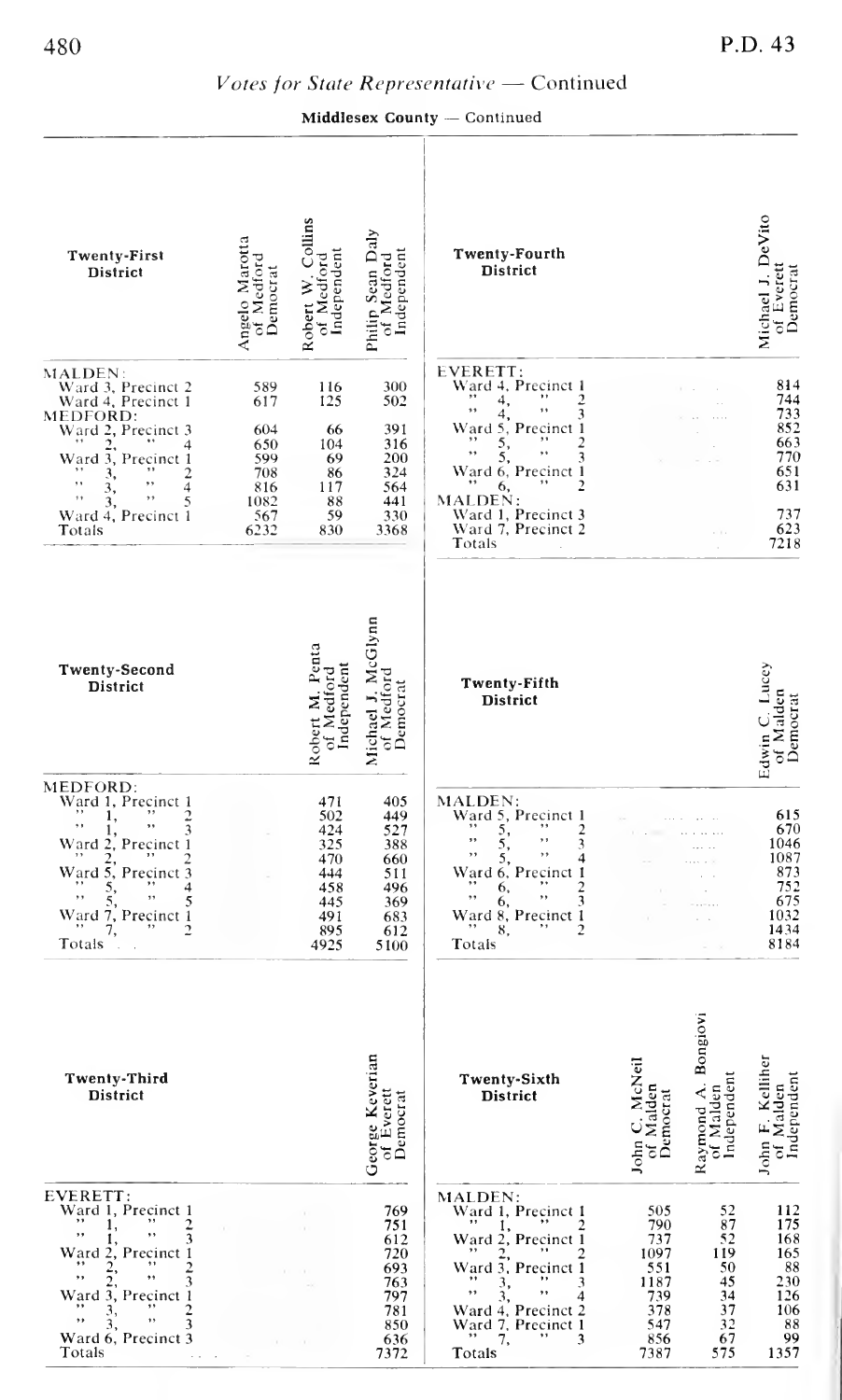| Twenty-First<br>District                                                                                                                                                                                                                                                                                                                                                                                                                                             | Angelo Marotta<br>of Medford<br>Democrat                      | Robert W. Collins<br>of Medford<br>Independent                                                                      | Philip Sean Daly<br>of Medford<br>Independent                                | Twenty-Fourth<br>District                                                                                                                                                                                                                                                                                                                                                                         |                                                                                                                    |                                                                                                | Michael J. DeVito<br>of Everett<br>Democrat                                                                      |
|----------------------------------------------------------------------------------------------------------------------------------------------------------------------------------------------------------------------------------------------------------------------------------------------------------------------------------------------------------------------------------------------------------------------------------------------------------------------|---------------------------------------------------------------|---------------------------------------------------------------------------------------------------------------------|------------------------------------------------------------------------------|---------------------------------------------------------------------------------------------------------------------------------------------------------------------------------------------------------------------------------------------------------------------------------------------------------------------------------------------------------------------------------------------------|--------------------------------------------------------------------------------------------------------------------|------------------------------------------------------------------------------------------------|------------------------------------------------------------------------------------------------------------------|
| MALDEN:<br>Ward 3, Precinct 2<br>Ward 4, Precinct 1<br>Ward 4, Prec.<br>Ward 4, Prec.<br>MEDFORD:<br>Ward 2, Precinct 3<br>Ward 3, Precinct 1<br>Ward 3, Precinct 1<br>Precinct 1<br>Precinct 4<br>Precinct 4<br>Precinct 4<br>Precinct 4<br>Precinct 4<br>Precinct 4<br>Precinct 4<br>,<br>5<br>3,<br>Ward 4, Precinct 1<br>Totals                                                                                                                                  | 589<br>617<br>604<br>650<br>599<br>708<br>816<br>1082<br>6232 | 116<br>125<br>66<br>104<br>69<br>86<br>117<br>88<br>59<br>830                                                       | 300<br>502<br>391<br>316<br>200<br>324<br>564<br>441<br>330<br>3368          | EVERETT:<br>Ward 4, Precinct 1<br>$\frac{1}{2}$<br>$\frac{4}{4}$<br>$\frac{1}{2}$<br>$\frac{2}{3}$<br>$\frac{4}{4}$ , $\frac{4}{2}$<br>3<br>Ward 5, Precinct 1<br>$\frac{5}{5}$ , Precinct 1<br>$\frac{5}{5}$ , $\frac{2}{3}$<br>Ward $\overset{6}{\underset{6}{\phantom{1}}},$ Precinct<br>$\mathbf{1}$<br>6,<br>$\overline{2}$<br>MALDEN:<br>Ward 1, Precinct 3<br>Ward 7, Precinct 2<br>Totals |                                                                                                                    | $\mathcal{A}=\mathcal{A}$<br>$\sim$<br>$\bar{\phantom{a}}$<br>$\mathbf{x}$<br>$\sim$<br>$\sim$ | 814<br>744<br>733<br>852<br>853<br>663<br>770<br>651<br>631<br>$\begin{array}{c} 737 \\ 623 \\ 7218 \end{array}$ |
| Twenty-Second<br><b>District</b>                                                                                                                                                                                                                                                                                                                                                                                                                                     |                                                               | Robert M. Penta<br>of Medford<br>Independent                                                                        | Michael J. McGlynn<br>of Medford<br>Democrat                                 | Twenty-Fifth<br><b>District</b>                                                                                                                                                                                                                                                                                                                                                                   |                                                                                                                    |                                                                                                | Edwin C. Lucey<br>of Malden<br>Democrat                                                                          |
| MEDFORD:<br>Ward 1, Precinct 1<br>$\frac{1}{n}$ , $\frac{n}{n}$ , $\frac{2}{3}$<br>$\frac{2}{3}$<br>į,<br>Ward 2, Precinct<br>Ward 5, Precinct<br>$\frac{3}{2}$ , Precinct<br>$\frac{5}{2}$ , Precinct<br>$\frac{5}{2}$<br>$\frac{1}{2}$<br>$\frac{4}{5}$<br>$\frac{5}{5}$<br>$7,$ Precinct<br>$7,$<br>Ward<br>$\mathbf{1}$<br>Totals                                                                                                                                |                                                               | $\begin{array}{c} 471 \\ 502 \\ 424 \\ 325 \\ 470 \\ \vdots \end{array}$<br>444<br>458<br>445<br>491<br>895<br>4925 | 405<br>449<br>527<br>388<br>660<br>511<br>496<br>369<br>683<br>612<br>5100   | MALDEN:<br>Ward 5, Precinct 1<br>$\begin{array}{ccc}\n & 5, & \cdots & 2 \\ \cdots & 5, & \cdots & 3 \\ \cdots & 5, & \cdots & 3 \\ \cdots & 5, & \cdots & 4\n\end{array}$<br>5,<br>$\overline{4}$<br>Ward 6, Precinct $\frac{1}{1}$<br>$\begin{array}{ccc}\n& 6 \\ & 7 \\ & 2 \\ & 6\n\end{array}$<br>$\frac{2}{3}$<br>6,<br>Ward 8, Precinct<br>1<br>$\overline{c}$<br>8,<br>Totals             |                                                                                                                    | $\sim$<br>$\sim$<br>$\sim$ $\sim$                                                              | 615<br>$670$<br>$1046$<br>$1087$<br>$873$<br>$752$<br>$675$<br>$1032$<br>1434<br>8184                            |
| Twenty-Third<br><b>District</b>                                                                                                                                                                                                                                                                                                                                                                                                                                      |                                                               |                                                                                                                     | George Keverian<br>of Everett<br>Democrat                                    | Twenty-Sixth<br>District                                                                                                                                                                                                                                                                                                                                                                          | John C. McNeil<br>of Malden<br>Democrat                                                                            | Raymond A. Bongiovi<br>of Malden<br>Independent                                                | John F. Kelliher<br>of Malden<br>Independent                                                                     |
| EVERETT:<br>Ward 1, Precinct 1<br>$\begin{array}{cc}\n & 1 \\ \cdot & \cdot \\ 1 & \cdot \\ 1 & \cdot\n\end{array}$ $\begin{array}{cc}\n & 1 \\ \cdot & \cdot \\ 1 & \cdot \\ 2 & 3\n\end{array}$<br>$\frac{1}{1}$ ,<br>$\frac{2}{3}$<br>Ward $\frac{1}{2}$ , Precinct<br>$\frac{2}{2}$ , $\frac{2}{2}$<br>1<br>$\frac{2}{3}$<br>Ward $\frac{3}{3}$ , Precinct<br>$\frac{3}{2}$ , $\frac{3}{2}$ , $\frac{3}{2}$ , $\frac{2}{3}$<br>Ward 6, Precinct 3<br>Totals<br>× |                                                               |                                                                                                                     | 769<br>$751$<br>612<br>720<br>$\frac{693}{763}$<br>781<br>850<br>636<br>7372 | MALDEN:<br>Ward 1, Preginct 1<br>Ward 2, Preginct 1<br>Ward 3, Preginct 1<br>Ward 3, Preginct 1<br>2<br>Ward 4, Preginct 2<br>Ward 7, Preginct 1<br>Totals,<br>Totals,<br>Totals                                                                                                                                                                                                                  | 505<br>790<br>737<br>$\begin{array}{c} 1097 \\ 551 \\ 1187 \\ 739 \\ 378 \\ 547 \\ 572 \end{array}$<br>856<br>7387 | $52$<br>$87$<br>$52$<br>$19$<br>$50$<br>$45$<br>$34$<br>$37$<br>$32$<br>$67$<br>575            | 112<br>175<br>168<br>165<br>165<br>88<br>230<br>126<br>$\frac{106}{88}$<br>$\frac{99}{1357}$                     |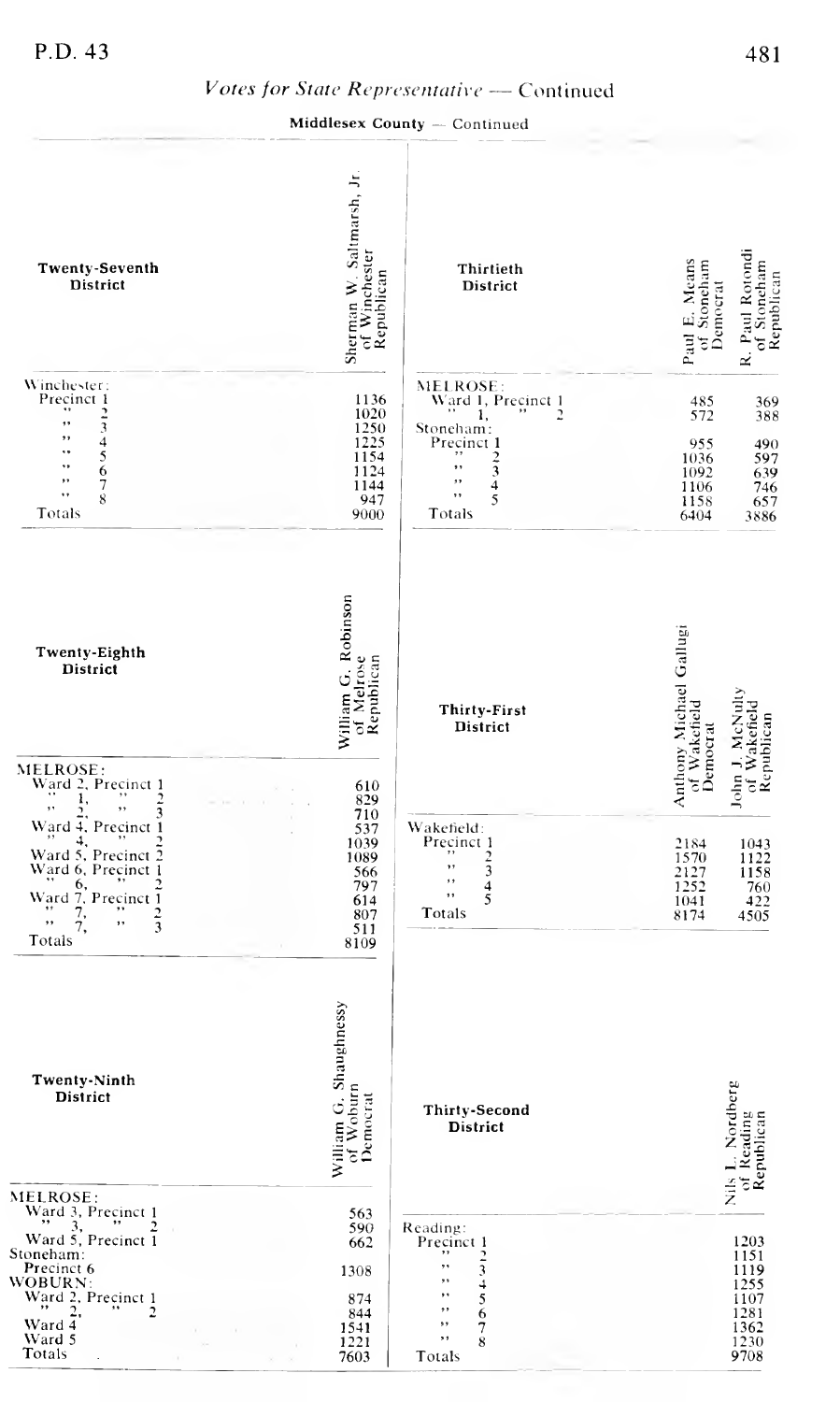Votes for State Representative — Continued

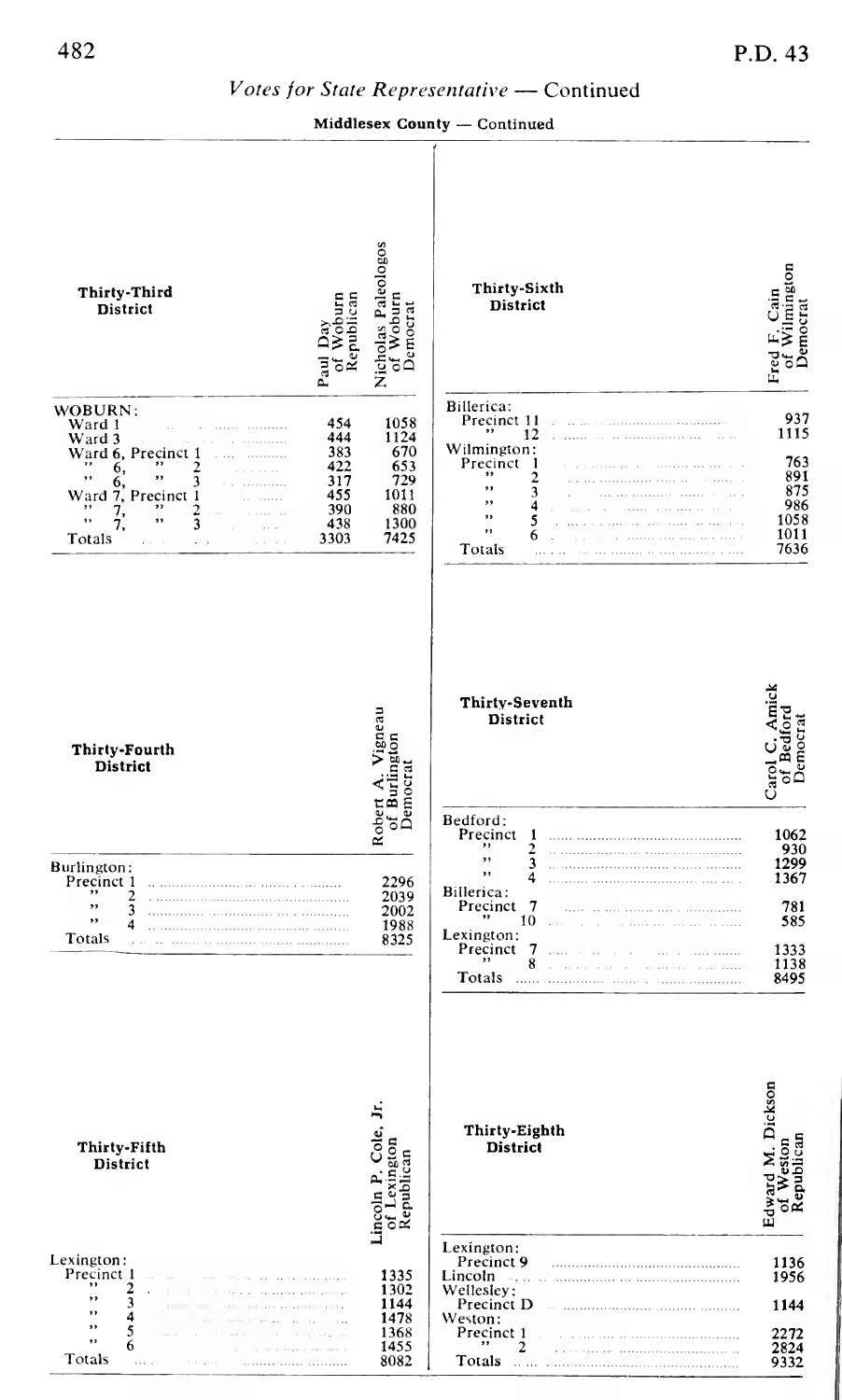